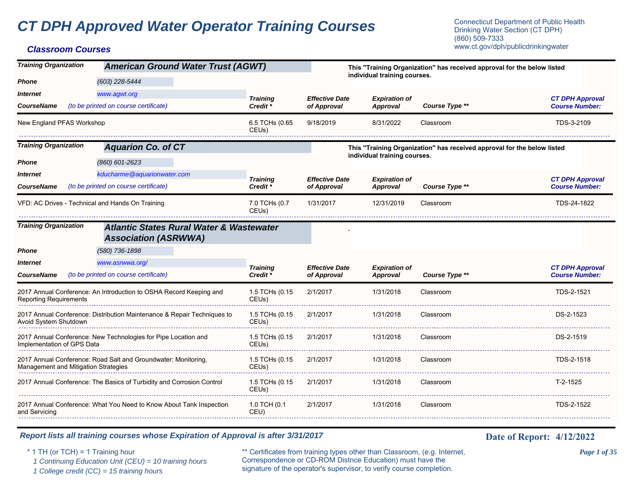# **CT DPH Approved Water Operator Training Courses** Connecticut Department of Public Health Connecticut Department of Public Health

| <b>Training Organization</b>  | <b>American Ground Water Trust (AGWT)</b>                                                              |                         |                       | This "Training Organization" has received approval for the below listed<br>individual training courses. |                                                                         |                        |
|-------------------------------|--------------------------------------------------------------------------------------------------------|-------------------------|-----------------------|---------------------------------------------------------------------------------------------------------|-------------------------------------------------------------------------|------------------------|
| <b>Phone</b>                  | (603) 228-5444                                                                                         |                         |                       |                                                                                                         |                                                                         |                        |
| <b>Internet</b>               | www.agwt.org                                                                                           | <b>Training</b>         | <b>Effective Date</b> | <b>Expiration of</b>                                                                                    |                                                                         | <b>CT DPH Approval</b> |
| <b>CourseName</b>             | (to be printed on course certificate)                                                                  | Credit <sup>*</sup>     | of Approval           | <b>Approval</b>                                                                                         | Course Type **                                                          | <b>Course Number:</b>  |
| New England PFAS Workshop     |                                                                                                        | 6.5 TCHs (0.65<br>CEUs) | 9/18/2019             | 8/31/2022                                                                                               | Classroom                                                               | TDS-3-2109             |
| <b>Training Organization</b>  | <b>Aquarion Co. of CT</b>                                                                              |                         |                       |                                                                                                         | This "Training Organization" has received approval for the below listed |                        |
| <b>Phone</b>                  | (860) 601-2623                                                                                         |                         |                       | individual training courses.                                                                            |                                                                         |                        |
| <i><b>Internet</b></i>        | kducharme@aquarionwater.com                                                                            | <b>Training</b>         | <b>Effective Date</b> | <b>Expiration of</b>                                                                                    |                                                                         | <b>CT DPH Approval</b> |
| <b>CourseName</b>             | (to be printed on course certificate)                                                                  | Credit <sup>*</sup>     | of Approval           | Approval                                                                                                | Course Type **                                                          | <b>Course Number:</b>  |
|                               | VFD: AC Drives - Technical and Hands On Training                                                       | 7.0 TCHs (0.7<br>CEUs)  | 1/31/2017             | 12/31/2019                                                                                              | Classroom                                                               | TDS-24-1822            |
| <b>Training Organization</b>  | <b>Atlantic States Rural Water &amp; Wastewater</b><br><b>Association (ASRWWA)</b>                     |                         |                       |                                                                                                         |                                                                         |                        |
| <b>Phone</b>                  | (580) 736-1898                                                                                         |                         |                       |                                                                                                         |                                                                         |                        |
| <i><b>Internet</b></i>        | www.asrwwa.org/                                                                                        | <b>Training</b>         | <b>Effective Date</b> | <b>Expiration of</b>                                                                                    |                                                                         | <b>CT DPH Approval</b> |
| <b>CourseName</b>             | (to be printed on course certificate)                                                                  | Credit <sup>*</sup>     | of Approval           | Approval                                                                                                | Course Type **                                                          | <b>Course Number:</b>  |
| <b>Reporting Requirements</b> | 2017 Annual Conference: An Introduction to OSHA Record Keeping and                                     | 1.5 TCHs (0.15<br>CEUs) | 2/1/2017              | 1/31/2018                                                                                               | Classroom                                                               | TDS-2-1521             |
| Avoid System Shutdown         | 2017 Annual Conference: Distribution Maintenance & Repair Techniques to                                | 1.5 TCHs (0.15<br>CEUs) | 2/1/2017              | 1/31/2018                                                                                               | Classroom                                                               | DS-2-1523              |
| Implementation of GPS Data    | 2017 Annual Conference: New Technologies for Pipe Location and                                         | 1.5 TCHs (0.15<br>CEUs) | 2/1/2017              | 1/31/2018                                                                                               | Classroom                                                               | DS-2-1519              |
|                               | 2017 Annual Conference: Road Salt and Groundwater: Monitoring,<br>Management and Mitigation Strategies | 1.5 TCHs (0.15<br>CEUs) | 2/1/2017              | 1/31/2018                                                                                               | Classroom                                                               | TDS-2-1518             |
|                               | 2017 Annual Conference: The Basics of Turbidity and Corrosion Control                                  | 1.5 TCHs (0.15<br>CEUs) | 2/1/2017              | 1/31/2018                                                                                               | Classroom                                                               | $T-2-1525$             |
| and Servicing                 | 2017 Annual Conference: What You Need to Know About Tank Inspection                                    | 1.0 TCH (0.1<br>CEU)    | 2/1/2017              | 1/31/2018                                                                                               | Classroom                                                               | TDS-2-1522             |

#### *Report lists all training courses whose Expiration of Approval is after 3/31/2017* **Date 19th Date of Report:** 4/12/2022

\* 1 TH (or TCH) = 1 Training hour \*\* Certificates from training types other than Classroom, (e.g. Internet, *Page 1 of 35* Correspondence or CD-ROM Distnce Education) must have the 1 Continuing Education Unit (CEU) = 10 training hours Correspondence or CD-ROM Distnee Education) must have the <br>1 College credit (CC) = 15 training hours signature of the operator's supervisor, to verify course completion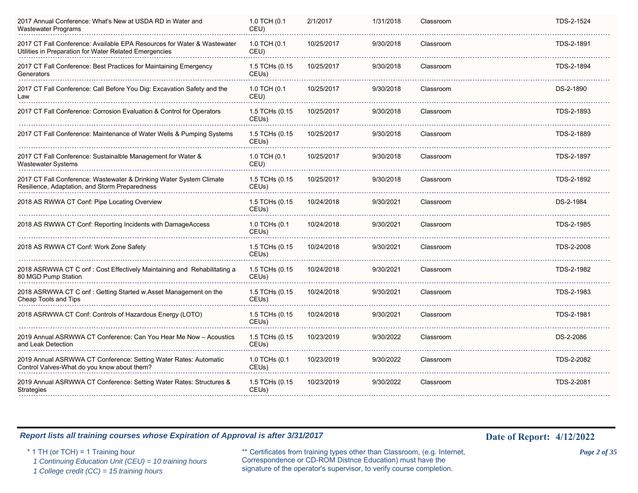| 2017 Annual Conference: What's New at USDA RD in Water and<br><b>Wastewater Programs</b>                                          | 1.0 TCH (0.1<br>CEU)                 | 2/1/2017   | 1/31/2018 | Classroom | TDS-2-1524 |
|-----------------------------------------------------------------------------------------------------------------------------------|--------------------------------------|------------|-----------|-----------|------------|
| 2017 CT Fall Conference: Available EPA Resources for Water & Wastewater<br>Utilities in Preparation for Water Related Emergencies | 1.0 TCH (0.1<br>CEU)                 | 10/25/2017 | 9/30/2018 | Classroom | TDS-2-1891 |
| 2017 CT Fall Conference: Best Practices for Maintaining Emergency<br>Generators                                                   | 1.5 TCHs (0.15<br>CEU <sub>s</sub> ) | 10/25/2017 | 9/30/2018 | Classroom | TDS-2-1894 |
| 2017 CT Fall Conference: Call Before You Dig: Excavation Safety and the<br>Law                                                    | 1.0 TCH (0.1<br>CEU)                 | 10/25/2017 | 9/30/2018 | Classroom | DS-2-1890  |
| 2017 CT Fall Conference: Corrosion Evaluation & Control for Operators                                                             | 1.5 TCHs (0.15<br>CEUs)              | 10/25/2017 | 9/30/2018 | Classroom | TDS-2-1893 |
| 2017 CT Fall Conference: Maintenance of Water Wells & Pumping Systems                                                             | 1.5 TCHs (0.15<br>CEU <sub>s</sub> ) | 10/25/2017 | 9/30/2018 | Classroom | TDS-2-1889 |
| 2017 CT Fall Conference: Sustainalble Management for Water &<br>Wastewater Systems                                                | 1.0 TCH (0.1<br>CEU)                 | 10/25/2017 | 9/30/2018 | Classroom | TDS-2-1897 |
| 2017 CT Fall Conference: Wastewater & Drinking Water System Climate<br>Resilience, Adaptation, and Storm Preparedness             | 1.5 TCHs (0.15<br>CEU <sub>s</sub> ) | 10/25/2017 | 9/30/2018 | Classroom | TDS-2-1892 |
| 2018 AS RWWA CT Conf. Pipe Locating Overview                                                                                      | 1.5 TCHs (0.15<br>CEUs)              | 10/24/2018 | 9/30/2021 | Classroom | DS-2-1984  |
| 2018 AS RWWA CT Conf: Reporting Incidents with DamageAccess                                                                       | 1.0 TCHs (0.1<br>CEUs)               | 10/24/2018 | 9/30/2021 | Classroom | TDS-2-1985 |
| 2018 AS RWWA CT Conf: Work Zone Safety                                                                                            | 1.5 TCHs (0.15<br>CEUs)              | 10/24/2018 | 9/30/2021 | Classroom | TDS-2-2008 |
| 2018 ASRWWA CT C onf: Cost Effectively Maintaining and Rehabilitating a<br>80 MGD Pump Station                                    | 1.5 TCHs (0.15<br>CEU <sub>s</sub> ) | 10/24/2018 | 9/30/2021 | Classroom | TDS-2-1982 |
| 2018 ASRWWA CT C onf: Getting Started w.Asset Management on the<br>Cheap Tools and Tips                                           | 1.5 TCHs (0.15<br>CEUs)              | 10/24/2018 | 9/30/2021 | Classroom | TDS-2-1983 |
| 2018 ASRWWA CT Conf: Controls of Hazardous Energy (LOTO)                                                                          | 1.5 TCHs (0.15<br>CEUs)              | 10/24/2018 | 9/30/2021 | Classroom | TDS-2-1981 |
| 2019 Annual ASRWWA CT Conference: Can You Hear Me Now - Acoustics<br>and Leak Detection                                           | 1.5 TCHs (0.15<br>CEUs)              | 10/23/2019 | 9/30/2022 | Classroom | DS-2-2086  |
| 2019 Annual ASRWWA CT Conference: Setting Water Rates: Automatic<br>Control Valves-What do you know about them?                   | 1.0 TCHs (0.1<br>CEU <sub>s</sub> )  | 10/23/2019 | 9/30/2022 | Classroom | TDS-2-2082 |
| 2019 Annual ASRWWA CT Conference: Setting Water Rates: Structures &<br><b>Strategies</b>                                          | 1.5 TCHs (0.15<br>CEUs)              | 10/23/2019 | 9/30/2022 | Classroom | TDS-2-2081 |
|                                                                                                                                   |                                      |            |           |           |            |

\* 1 TH (or TCH) = 1 Training hour \*\* Certificates from training types other than Classroom, (e.g. Internet, *Page 2 of 35* Correspondence or CD-ROM Distnce Education) must have the 1 Continuing Education Unit (CEU) = 10 training hours Correspondence or CD-ROM Distnee Education) must have the 1 College credit (CC) = 15 training hours signature of the operator's supervisor, to verify course completion.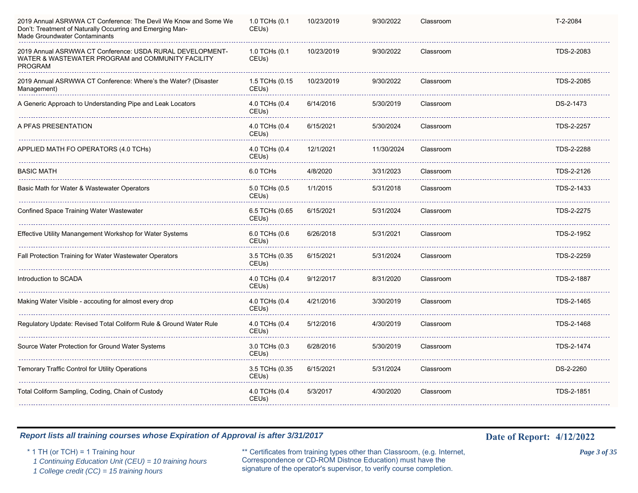| 2019 Annual ASRWWA CT Conference: The Devil We Know and Some We<br>Don't: Treatment of Naturally Occurring and Emerging Man-<br>Made Groundwater Contaminants | 1.0 TCHs (0.1<br>CEUs)               | 10/23/2019 | 9/30/2022  | Classroom | T-2-2084        |
|---------------------------------------------------------------------------------------------------------------------------------------------------------------|--------------------------------------|------------|------------|-----------|-----------------|
| 2019 Annual ASRWWA CT Conference: USDA RURAL DEVELOPMENT-<br>WATER & WASTEWATER PROGRAM and COMMUNITY FACILITY<br><b>PROGRAM</b>                              | 1.0 TCHs (0.1<br>CEUs)               | 10/23/2019 | 9/30/2022  | Classroom | TDS-2-2083      |
| 2019 Annual ASRWWA CT Conference: Where's the Water? (Disaster<br>Management)                                                                                 | 1.5 TCHs (0.15<br>CEUs)              | 10/23/2019 | 9/30/2022  | Classroom | TDS-2-2085      |
| A Generic Approach to Understanding Pipe and Leak Locators                                                                                                    | 4.0 TCHs (0.4<br>CEUs)               | 6/14/2016  | 5/30/2019  | Classroom | DS-2-1473       |
| A PFAS PRESENTATION                                                                                                                                           | 4.0 TCHs (0.4<br>CEUs)               | 6/15/2021  | 5/30/2024  | Classroom | TDS-2-2257      |
| APPLIED MATH FO OPERATORS (4.0 TCHs)                                                                                                                          | 4.0 TCHs (0.4<br>CEUs)               | 12/1/2021  | 11/30/2024 | Classroom | TDS-2-2288      |
| <b>BASIC MATH</b><br>.                                                                                                                                        | 6.0 TCHs                             | 4/8/2020   | 3/31/2023  | Classroom | TDS-2-2126<br>. |
| Basic Math for Water & Wastewater Operators                                                                                                                   | 5.0 TCHs (0.5<br>CEU <sub>s</sub> )  | 1/1/2015   | 5/31/2018  | Classroom | TDS-2-1433      |
| <b>Confined Space Training Water Wastewater</b>                                                                                                               | 6.5 TCHs (0.65<br>CEU <sub>s</sub> ) | 6/15/2021  | 5/31/2024  | Classroom | TDS-2-2275      |
| Effective Utility Manangement Workshop for Water Systems                                                                                                      | 6.0 TCHs (0.6<br>CEUs)               | 6/26/2018  | 5/31/2021  | Classroom | TDS-2-1952      |
| Fall Protection Training for Water Wastewater Operators                                                                                                       | 3.5 TCHs (0.35<br>CEUs)              | 6/15/2021  | 5/31/2024  | Classroom | TDS-2-2259      |
| Introduction to SCADA                                                                                                                                         | 4.0 TCHs (0.4<br>CEUs)               | 9/12/2017  | 8/31/2020  | Classroom | TDS-2-1887      |
| Making Water Visible - accouting for almost every drop                                                                                                        | 4.0 TCHs (0.4<br>CEUs)               | 4/21/2016  | 3/30/2019  | Classroom | TDS-2-1465      |
| Regulatory Update: Revised Total Coliform Rule & Ground Water Rule                                                                                            | 4.0 TCHs (0.4<br>CEUs)               | 5/12/2016  | 4/30/2019  | Classroom | TDS-2-1468      |
| Source Water Protection for Ground Water Systems                                                                                                              | 3.0 TCHs (0.3<br>CEUs)               | 6/28/2016  | 5/30/2019  | Classroom | TDS-2-1474      |
| Temorary Traffic Control for Utility Operations                                                                                                               | 3.5 TCHs (0.35<br>CEUs)              | 6/15/2021  | 5/31/2024  | Classroom | DS-2-2260       |
| Total Coliform Sampling, Coding, Chain of Custody                                                                                                             | 4.0 TCHs (0.4<br>CEUs)               | 5/3/2017   | 4/30/2020  | Classroom | TDS-2-1851      |
|                                                                                                                                                               |                                      |            |            |           |                 |

\* 1 TH (or TCH) = 1 Training hour \*\* Certificates from training types other than Classroom, (e.g. Internet, *Page 3 of 35* Correspondence or CD-ROM Distnce Education) must have the 1 Continuing Education Unit (CEU) = 10 training hours Correspondence or CD-ROM Distnce Education) must have the 1 College credit (CC) = 15 training hours signature of the operator's supervisor, to verify course completion.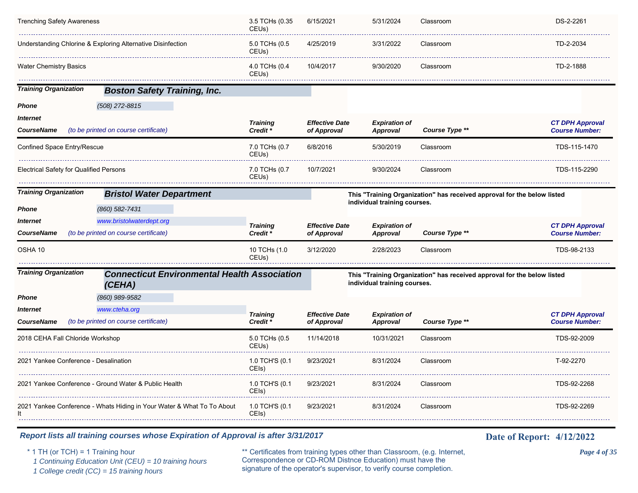| <b>Trenching Safety Awareness</b>           |                                                               | 3.5 TCHs (0.35<br>CEUs)     | 6/15/2021                            | 5/31/2024                               | Classroom                                                               | DS-2-2261                                       |
|---------------------------------------------|---------------------------------------------------------------|-----------------------------|--------------------------------------|-----------------------------------------|-------------------------------------------------------------------------|-------------------------------------------------|
|                                             | Understanding Chlorine & Exploring Alternative Disinfectior   | 5.0 TCHs (0.5<br>CEUs)      | 4/25/2019                            | 3/31/2022                               | Classroom                                                               | TD-2-2034                                       |
| Water Chemistry Basics                      |                                                               | 4.0 TCHs (0.4<br>CEUs)      | 10/4/2017                            | 9/30/2020                               | Classroom                                                               | TD-2-1888                                       |
| <b>Training Organization</b>                | <b>Boston Safety Training, Inc.</b>                           |                             |                                      |                                         |                                                                         |                                                 |
| Phone                                       | $(508)$ 272-8815                                              |                             |                                      |                                         |                                                                         |                                                 |
| <i><b>Internet</b></i><br><b>CourseName</b> | (to be printed on course certificate)                         | <b>Training</b><br>Credit * | <b>Effective Date</b><br>of Approval | <b>Expiration of</b><br><b>Approval</b> | Course Type **                                                          | <b>CT DPH Approval</b><br><b>Course Number:</b> |
| Confined Space Entry/Rescue                 |                                                               | 7.0 TCHs (0.7<br>CEUs)      | 6/8/2016                             | 5/30/2019                               | Classroom                                                               | TDS-115-1470                                    |
| Electrical Safety for Qualified Persons     |                                                               | 7.0 TCHs (0.7<br>CEUs)      | 10/7/2021                            | 9/30/2024                               | Classroom                                                               | TDS-115-2290                                    |
| <b>Training Organization</b>                | <b>Bristol Water Department</b>                               |                             |                                      |                                         | This "Training Organization" has received approval for the below listed |                                                 |
| Phone                                       | (860) 582-7431                                                |                             |                                      | individual training courses.            |                                                                         |                                                 |
| Internet                                    | www.bristolwaterdept.org                                      | <b>Training</b>             | <b>Effective Date</b>                | <b>Expiration of</b>                    |                                                                         | <b>CT DPH Approval</b>                          |
| <b>CourseName</b>                           | (to be printed on course certificate)                         | Credit <sup>*</sup>         | of Approval                          | <b>Approval</b>                         | Course Type **                                                          | <b>Course Number:</b>                           |
| OSHA 10                                     |                                                               | 10 TCHs (1.0<br>CEUs)       | 3/12/2020                            | 2/28/2023                               | Classroom                                                               | TDS-98-2133                                     |
| <b>Training Organization</b>                | <b>Connecticut Environmental Health Association</b><br>(CEHA) |                             |                                      | individual training courses.            | This "Training Organization" has received approval for the below listed |                                                 |
| Phone                                       | (860) 989-9582                                                |                             |                                      |                                         |                                                                         |                                                 |
| <b>Internet</b>                             | www.cteha.org                                                 | <b>Training</b>             | <b>Effective Date</b>                | <b>Expiration of</b>                    |                                                                         | <b>CT DPH Approval</b>                          |
| <b>CourseName</b>                           | (to be printed on course certificate)                         | Credit *                    | of Approval                          | <b>Approval</b>                         | Course Type **                                                          | <b>Course Number:</b>                           |
| 2018 CEHA Fall Chloride Workshop            |                                                               | 5.0 TCHs (0.5<br>CEUs)      | 11/14/2018                           | 10/31/2021                              | Classroom                                                               | TDS-92-2009                                     |
| 2021 Yankee Conference - Desalination       |                                                               | 1.0 TCH'S (0.1              | 9/23/2021                            | 8/31/2024                               | Classroom                                                               | T-92-2270                                       |
|                                             |                                                               | CEIs)                       |                                      |                                         |                                                                         |                                                 |
|                                             | 2021 Yankee Conference - Ground Water & Public Health         | 1.0 TCH'S (0.1<br>CEIs)     | 9/23/2021                            | 8/31/2024                               | Classroom                                                               | TDS-92-2268                                     |

\* 1 TH (or TCH) = 1 Training hour \*\* Certificates from training types other than Classroom, (e.g. Internet, *Page 4 of 35* Correspondence or CD-ROM Distnce Education) must have the 1 Continuing Education Unit (CEU) = 10 training hours Correspondence or CD-ROM Distnee Education) must have the 1 College credit (CC) = 15 training hours signature of the operator's supervisor, to verify course completion.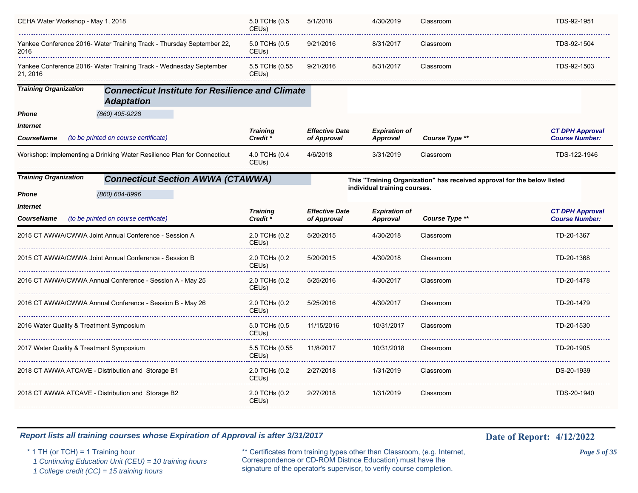| CEHA Water Workshop - May 1, 2018                                             |                                                                              | 5.0 TCHs (0.5<br>CEUs)              | 5/1/2018                             | 4/30/2019                               | Classroom                                                               | TDS-92-1951                                     |
|-------------------------------------------------------------------------------|------------------------------------------------------------------------------|-------------------------------------|--------------------------------------|-----------------------------------------|-------------------------------------------------------------------------|-------------------------------------------------|
| Yankee Conference 2016- Water Training Track - Thursday September 22,<br>2016 |                                                                              | 5.0 TCHs (0.5<br>CEUs)              | 9/21/2016                            | 8/31/2017                               | Classroom                                                               | TDS-92-1504                                     |
| 21, 2016                                                                      | Yankee Conference 2016- Water Training Track - Wednesday September           | 5.5 TCHs (0.55<br>CEUs)             | 9/21/2016                            | 8/31/2017                               | Classroom                                                               | TDS-92-1503                                     |
| <b>Training Organization</b>                                                  | <b>Connecticut Institute for Resilience and Climate</b><br><b>Adaptation</b> |                                     |                                      |                                         |                                                                         |                                                 |
| <b>Phone</b>                                                                  | (860) 405-9228                                                               |                                     |                                      |                                         |                                                                         |                                                 |
| <b>Internet</b><br>CourseName                                                 | (to be printed on course certificate)                                        | <b>Training</b><br>Credit*          | <b>Effective Date</b><br>of Approval | <b>Expiration of</b><br><b>Approval</b> | Course Type **                                                          | <b>CT DPH Approval</b><br><b>Course Number:</b> |
|                                                                               | Workshop: Implementing a Drinking Water Resilience Plan for Connecticut      | 4.0 TCHs (0.4<br>CEUs)              | 4/6/2018                             | 3/31/2019                               | Classroom                                                               | TDS-122-1946                                    |
| <b>Training Organization</b><br>Phone                                         | <b>Connecticut Section AWWA (CTAWWA)</b><br>(860) 604-8996                   |                                     |                                      | individual training courses.            | This "Training Organization" has received approval for the below listed |                                                 |
| <i><b>Internet</b></i>                                                        |                                                                              | <b>Training</b>                     | <b>Effective Date</b>                | <b>Expiration of</b>                    |                                                                         | <b>CT DPH Approval</b>                          |
| CourseName                                                                    | (to be printed on course certificate)                                        | Credit*                             | of Approval                          | <b>Approval</b>                         | Course Type **                                                          | <b>Course Number:</b>                           |
|                                                                               | 2015 CT AWWA/CWWA Joint Annual Conference - Session A                        | 2.0 TCHs (0.2<br>CEUs)              | 5/20/2015                            | 4/30/2018                               | Classroom                                                               | TD-20-1367                                      |
|                                                                               | 2015 CT AWWA/CWWA Joint Annual Conference - Session B                        | 2.0 TCHs (0.2<br>CEUs)              | 5/20/2015                            | 4/30/2018                               | Classroom                                                               | TD-20-1368                                      |
|                                                                               | 2016 CT AWWA/CWWA Annual Conference - Session A - May 25                     | 2.0 TCHs (0.2<br>CEUs)              | 5/25/2016                            | 4/30/2017                               | Classroom                                                               | TD-20-1478                                      |
|                                                                               | 2016 CT AWWA/CWWA Annual Conference - Session B - May 26                     | 2.0 TCHs (0.2<br>CEU <sub>s</sub> ) | 5/25/2016                            | 4/30/2017                               | Classroom                                                               | TD-20-1479                                      |
| 2016 Water Quality & Treatment Symposium                                      |                                                                              | 5.0 TCHs (0.5<br>CEU <sub>s</sub> ) | 11/15/2016                           | 10/31/2017                              | Classroom                                                               | TD-20-1530                                      |
| 2017 Water Quality & Treatment Symposium                                      |                                                                              | 5.5 TCHs (0.55<br>CEUs)             | 11/8/2017                            | 10/31/2018                              | Classroom                                                               | TD-20-1905                                      |
|                                                                               | 2018 CT AWWA ATCAVE - Distribution and Storage B1                            | 2.0 TCHs (0.2<br>CEUs)              | 2/27/2018                            | 1/31/2019                               | Classroom                                                               | DS-20-1939                                      |
|                                                                               | 2018 CT AWWA ATCAVE - Distribution and Storage B2                            | 2.0 TCHs (0.2<br>CEUs)              | 2/27/2018                            | 1/31/2019                               | Classroom                                                               | TDS-20-1940                                     |
|                                                                               |                                                                              |                                     |                                      |                                         |                                                                         |                                                 |

\* 1 TH (or TCH) = 1 Training hour \*\* Certificates from training types other than Classroom, (e.g. Internet, *Page 5 of 35* Correspondence or CD-ROM Distnce Education) must have the 1 Continuing Education Unit (CEU) = 10 training hours Correspondence or CD-ROM Distnee Education) must have the 1 College credit (CC) = 15 training hours signature of the operator's supervisor, to verify course completion.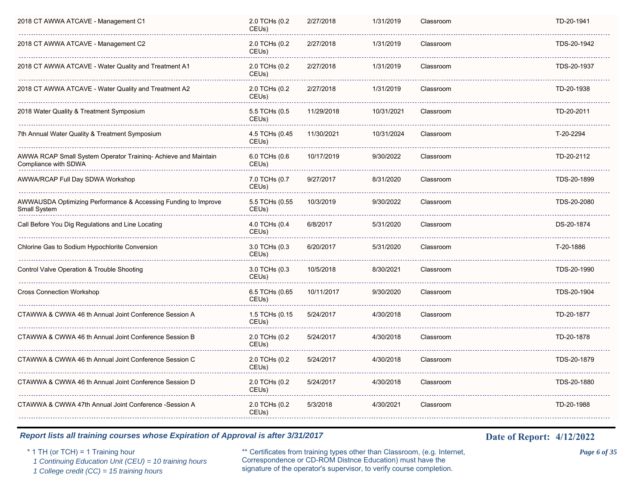| 2018 CT AWWA ATCAVE - Management C1                                                    | 2.0 TCHs (0.2<br>CEU <sub>s</sub> ) | 2/27/2018  | 1/31/2019  | Classroom | TD-20-1941  |
|----------------------------------------------------------------------------------------|-------------------------------------|------------|------------|-----------|-------------|
| 2018 CT AWWA ATCAVE - Management C2                                                    | 2.0 TCHs (0.2<br>CEUs)              | 2/27/2018  | 1/31/2019  | Classroom | TDS-20-1942 |
| 2018 CT AWWA ATCAVE - Water Quality and Treatment A1                                   | 2.0 TCHs (0.2<br>CEUs)              | 2/27/2018  | 1/31/2019  | Classroom | TDS-20-1937 |
| 2018 CT AWWA ATCAVE - Water Quality and Treatment A2                                   | 2.0 TCHs (0.2<br>CEUs)              | 2/27/2018  | 1/31/2019  | Classroom | TD-20-1938  |
| 2018 Water Quality & Treatment Symposium                                               | 5.5 TCHs (0.5<br>CEU <sub>s</sub> ) | 11/29/2018 | 10/31/2021 | Classroom | TD-20-2011  |
| 7th Annual Water Quality & Treatment Symposium                                         | 4.5 TCHs (0.45<br>CEUs)             | 11/30/2021 | 10/31/2024 | Classroom | T-20-2294   |
| AWWA RCAP Small System Operator Training- Achieve and Maintain<br>Compliance with SDWA | 6.0 TCHs (0.6<br>CEUs)              | 10/17/2019 | 9/30/2022  | Classroom | TD-20-2112  |
| AWWA/RCAP Full Day SDWA Workshop                                                       | 7.0 TCHs (0.7<br>CEU <sub>s</sub> ) | 9/27/2017  | 8/31/2020  | Classroom | TDS-20-1899 |
| AWWAUSDA Optimizing Performance & Accessing Funding to Improve<br>Small System         | 5.5 TCHs (0.55<br>CEUs)             | 10/3/2019  | 9/30/2022  | Classroom | TDS-20-2080 |
| Call Before You Dig Regulations and Line Locating                                      | 4.0 TCHs (0.4<br>CEUs)              | 6/8/2017   | 5/31/2020  | Classroom | DS-20-1874  |
| Chlorine Gas to Sodium Hypochlorite Conversion                                         | 3.0 TCHs (0.3<br>CEUs)              | 6/20/2017  | 5/31/2020  | Classroom | T-20-1886   |
| Control Valve Operation & Trouble Shooting                                             | 3.0 TCHs (0.3<br>CEUs)              | 10/5/2018  | 8/30/2021  | Classroom | TDS-20-1990 |
| <b>Cross Connection Workshop</b>                                                       | 6.5 TCHs (0.65<br>CEUs)             | 10/11/2017 | 9/30/2020  | Classroom | TDS-20-1904 |
| CTAWWA & CWWA 46 th Annual Joint Conference Session A                                  | 1.5 TCHs (0.15<br>CEUs)             | 5/24/2017  | 4/30/2018  | Classroom | TD-20-1877  |
| CTAWWA & CWWA 46 th Annual Joint Conference Session B                                  | 2.0 TCHs (0.2<br>CEUs)              | 5/24/2017  | 4/30/2018  | Classroom | TD-20-1878  |
| CTAWWA & CWWA 46 th Annual Joint Conference Session C                                  | 2.0 TCHs (0.2<br>CEUs)              | 5/24/2017  | 4/30/2018  | Classroom | TDS-20-1879 |
| CTAWWA & CWWA 46 th Annual Joint Conference Session D                                  | 2.0 TCHs (0.2<br>CEUs)              | 5/24/2017  | 4/30/2018  | Classroom | TDS-20-1880 |
| CTAWWA & CWWA 47th Annual Joint Conference -Session A                                  | 2.0 TCHs (0.2<br>CEUs)              | 5/3/2018   | 4/30/2021  | Classroom | TD-20-1988  |
|                                                                                        |                                     |            |            |           |             |

\* 1 TH (or TCH) = 1 Training hour \*\* Certificates from training types other than Classroom, (e.g. Internet, *Page 6 of 35* Correspondence or CD-ROM Distnce Education) must have the 1 Continuing Education Unit (CEU) = 10 training hours Correspondence or CD-ROM Distnee Education) must have the 1 College credit (CC) = 15 training hours signature of the operator's supervisor, to verify course completion.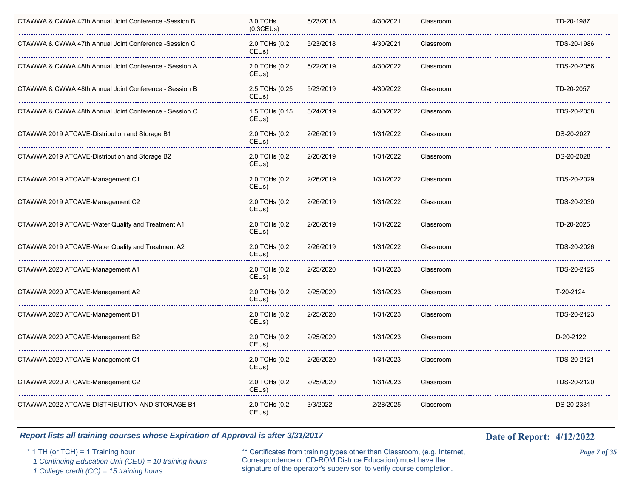| CTAWWA & CWWA 47th Annual Joint Conference -Session B  | 3.0 TCHs<br>(0.3CEUs)               | 5/23/2018 | 4/30/2021 | Classroom | TD-20-1987  |  |
|--------------------------------------------------------|-------------------------------------|-----------|-----------|-----------|-------------|--|
| CTAWWA & CWWA 47th Annual Joint Conference -Session C  | 2.0 TCHs (0.2<br>CEU <sub>s</sub> ) | 5/23/2018 | 4/30/2021 | Classroom | TDS-20-1986 |  |
| CTAWWA & CWWA 48th Annual Joint Conference - Session A | 2.0 TCHs (0.2<br>CEUs)              | 5/22/2019 | 4/30/2022 | Classroom | TDS-20-2056 |  |
| CTAWWA & CWWA 48th Annual Joint Conference - Session B | 2.5 TCHs (0.25<br>CEUs)             | 5/23/2019 | 4/30/2022 | Classroom | TD-20-2057  |  |
| CTAWWA & CWWA 48th Annual Joint Conference - Session C | 1.5 TCHs (0.15<br>CEUs)             | 5/24/2019 | 4/30/2022 | Classroom | TDS-20-2058 |  |
| CTAWWA 2019 ATCAVE-Distribution and Storage B1         | 2.0 TCHs (0.2<br>CEU <sub>s</sub> ) | 2/26/2019 | 1/31/2022 | Classroom | DS-20-2027  |  |
| CTAWWA 2019 ATCAVE-Distribution and Storage B2         | 2.0 TCHs (0.2<br>CEU <sub>s</sub> ) | 2/26/2019 | 1/31/2022 | Classroom | DS-20-2028  |  |
| CTAWWA 2019 ATCAVE-Management C1                       | 2.0 TCHs (0.2<br>CEU <sub>s</sub> ) | 2/26/2019 | 1/31/2022 | Classroom | TDS-20-2029 |  |
| CTAWWA 2019 ATCAVE-Management C2                       | 2.0 TCHs (0.2<br>CEUs)              | 2/26/2019 | 1/31/2022 | Classroom | TDS-20-2030 |  |
| CTAWWA 2019 ATCAVE-Water Quality and Treatment A1      | 2.0 TCHs (0.2<br>CEUs)              | 2/26/2019 | 1/31/2022 | Classroom | TD-20-2025  |  |
| CTAWWA 2019 ATCAVE-Water Quality and Treatment A2      | 2.0 TCHs (0.2<br>CEUs)              | 2/26/2019 | 1/31/2022 | Classroom | TDS-20-2026 |  |
| CTAWWA 2020 ATCAVE-Management A1                       | 2.0 TCHs (0.2<br>CEU <sub>s</sub> ) | 2/25/2020 | 1/31/2023 | Classroom | TDS-20-2125 |  |
| CTAWWA 2020 ATCAVE-Management A2                       | 2.0 TCHs (0.2<br>CEU <sub>s</sub> ) | 2/25/2020 | 1/31/2023 | Classroom | T-20-2124   |  |
| CTAWWA 2020 ATCAVE-Management B1                       | 2.0 TCHs (0.2<br>CEUs)              | 2/25/2020 | 1/31/2023 | Classroom | TDS-20-2123 |  |
| CTAWWA 2020 ATCAVE-Management B2                       | 2.0 TCHs (0.2<br>CEUs)              | 2/25/2020 | 1/31/2023 | Classroom | D-20-2122   |  |
| CTAWWA 2020 ATCAVE-Management C1                       | 2.0 TCHs (0.2<br>CEUs)              | 2/25/2020 | 1/31/2023 | Classroom | TDS-20-2121 |  |
| CTAWWA 2020 ATCAVE-Management C2                       | 2.0 TCHs (0.2<br>CEU <sub>s</sub> ) | 2/25/2020 | 1/31/2023 | Classroom | TDS-20-2120 |  |
| CTAWWA 2022 ATCAVE-DISTRIBUTION AND STORAGE B1         | 2.0 TCHs (0.2<br>CEUs)              | 3/3/2022  | 2/28/2025 | Classroom | DS-20-2331  |  |
|                                                        |                                     |           |           |           |             |  |

\* 1 TH (or TCH) = 1 Training hour \*\* Certificates from training types other than Classroom, (e.g. Internet, *Page 7 of 35* Correspondence or CD-ROM Distnce Education) must have the 1 Continuing Education Unit (CEU) = 10 training hours Correspondence or CD-ROM Distnee Education) must have the 1 College credit (CC) = 15 training hours signature of the operator's supervisor, to verify course completion.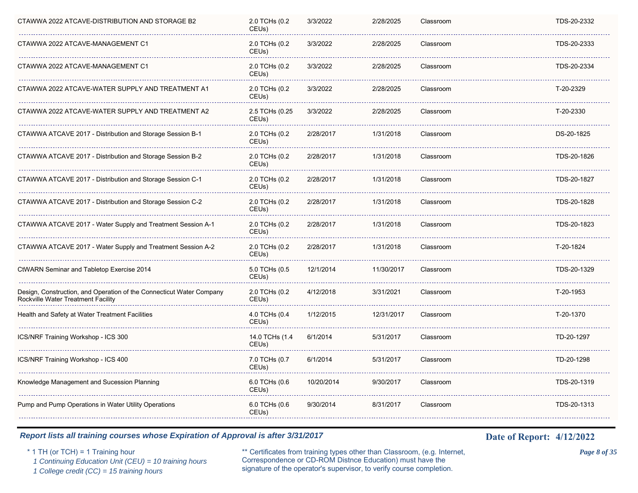| CTAWWA 2022 ATCAVE-DISTRIBUTION AND STORAGE B2                                                             | 2.0 TCHs (0.2<br>CEUs)              | 3/3/2022   | 2/28/2025  | Classroom | TDS-20-2332 |
|------------------------------------------------------------------------------------------------------------|-------------------------------------|------------|------------|-----------|-------------|
| CTAWWA 2022 ATCAVE-MANAGEMENT C1                                                                           | 2.0 TCHs (0.2<br>CEU <sub>s</sub> ) | 3/3/2022   | 2/28/2025  | Classroom | TDS-20-2333 |
| CTAWWA 2022 ATCAVE-MANAGEMENT C1                                                                           | 2.0 TCHs (0.2<br>CEUs)              | 3/3/2022   | 2/28/2025  | Classroom | TDS-20-2334 |
| CTAWWA 2022 ATCAVE-WATER SUPPLY AND TREATMENT A1                                                           | 2.0 TCHs (0.2<br>CEUs)              | 3/3/2022   | 2/28/2025  | Classroom | T-20-2329   |
| CTAWWA 2022 ATCAVE-WATER SUPPLY AND TREATMENT A2                                                           | 2.5 TCHs (0.25<br>CEUs)             | 3/3/2022   | 2/28/2025  | Classroom | T-20-2330   |
| CTAWWA ATCAVE 2017 - Distribution and Storage Session B-1                                                  | 2.0 TCHs (0.2<br>CEU <sub>s</sub> ) | 2/28/2017  | 1/31/2018  | Classroom | DS-20-1825  |
| CTAWWA ATCAVE 2017 - Distribution and Storage Session B-2                                                  | 2.0 TCHs (0.2<br>CEUs)              | 2/28/2017  | 1/31/2018  | Classroom | TDS-20-1826 |
| CTAWWA ATCAVE 2017 - Distribution and Storage Session C-1                                                  | 2.0 TCHs (0.2<br>CEU <sub>s</sub> ) | 2/28/2017  | 1/31/2018  | Classroom | TDS-20-1827 |
| CTAWWA ATCAVE 2017 - Distribution and Storage Session C-2                                                  | 2.0 TCHs (0.2<br>CEUs)              | 2/28/2017  | 1/31/2018  | Classroom | TDS-20-1828 |
| CTAWWA ATCAVE 2017 - Water Supply and Treatment Session A-1                                                | 2.0 TCHs (0.2<br>CEUs)              | 2/28/2017  | 1/31/2018  | Classroom | TDS-20-1823 |
| CTAWWA ATCAVE 2017 - Water Supply and Treatment Session A-2                                                | 2.0 TCHs (0.2<br>CEUs)              | 2/28/2017  | 1/31/2018  | Classroom | T-20-1824   |
| <b>CtWARN Seminar and Tabletop Exercise 2014</b>                                                           | 5.0 TCHs (0.5<br>CEU <sub>s</sub> ) | 12/1/2014  | 11/30/2017 | Classroom | TDS-20-1329 |
| Design, Construction, and Operation of the Connecticut Water Company<br>Rockville Water Treatment Facility | 2.0 TCHs (0.2<br>CEU <sub>s</sub> ) | 4/12/2018  | 3/31/2021  | Classroom | T-20-1953   |
| Health and Safety at Water Treatment Facilities                                                            | 4.0 TCHs (0.4<br>CEUs)              | 1/12/2015  | 12/31/2017 | Classroom | T-20-1370   |
| ICS/NRF Training Workshop - ICS 300                                                                        | 14.0 TCHs (1.4<br>CEUs)             | 6/1/2014   | 5/31/2017  | Classroom | TD-20-1297  |
| ICS/NRF Training Workshop - ICS 400                                                                        | 7.0 TCHs (0.7<br>CEUs)              | 6/1/2014   | 5/31/2017  | Classroom | TD-20-1298  |
| Knowledge Management and Sucession Planning                                                                | 6.0 TCHs (0.6<br>CEU <sub>s</sub> ) | 10/20/2014 | 9/30/2017  | Classroom | TDS-20-1319 |
| Pump and Pump Operations in Water Utility Operations                                                       | 6.0 TCHs (0.6<br>CEUs)              | 9/30/2014  | 8/31/2017  | Classroom | TDS-20-1313 |

\* 1 TH (or TCH) = 1 Training hour \*\* Certificates from training types other than Classroom, (e.g. Internet, *Page 8 of 35* Correspondence or CD-ROM Distnce Education) must have the 1 Continuing Education Unit (CEU) = 10 training hours Correspondence or CD-ROM Distnee Education) must have the 1 College credit (CC) = 15 training hours signature of the operator's supervisor, to verify course completion.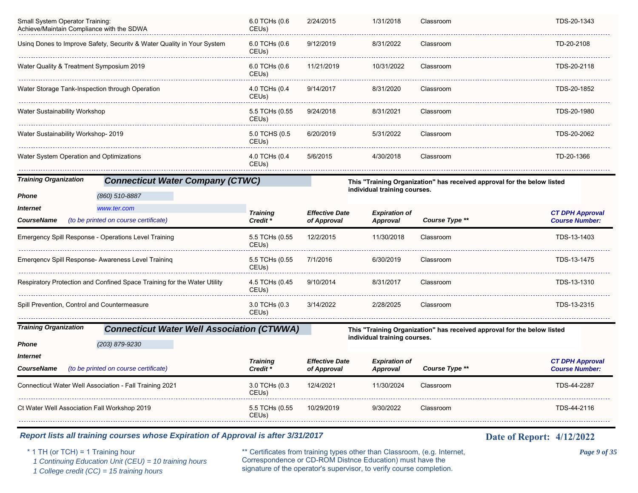| Small System Operator Training:<br>Achieve/Maintain Compliance with the SDWA |                                                                          | 6.0 TCHs (0.6<br>CEUs)                 | 2/24/2015                            | 1/31/2018                        | Classroom                                                               | TDS-20-1343                                     |
|------------------------------------------------------------------------------|--------------------------------------------------------------------------|----------------------------------------|--------------------------------------|----------------------------------|-------------------------------------------------------------------------|-------------------------------------------------|
|                                                                              | Using Dones to Improve Safety, Security & Water Quality in Your System   | 6.0 TCHs (0.6<br>CEUs)                 | 9/12/2019                            | 8/31/2022                        | Classroom                                                               | TD-20-2108                                      |
| Water Quality & Treatment Symposium 2019                                     |                                                                          | 6.0 TCHs (0.6<br>CEUs)                 | 11/21/2019                           | 10/31/2022                       | Classroom                                                               | TDS-20-2118                                     |
| Water Storage Tank-Inspection through Operation                              |                                                                          | 4.0 TCHs (0.4<br>CEUs)                 | 9/14/2017                            | 8/31/2020                        | Classroom                                                               | TDS-20-1852                                     |
| Water Sustainability Workshop                                                |                                                                          | 5.5 TCHs (0.55<br>CEUs)                | 9/24/2018                            | 8/31/2021                        | Classroom                                                               | TDS-20-1980                                     |
| Water Sustainability Workshop- 2019                                          |                                                                          | 5.0 TCHS (0.5<br>CEU <sub>s</sub> )    | 6/20/2019                            | 5/31/2022                        | Classroom                                                               | TDS-20-2062                                     |
| Water System Operation and Optimizations                                     |                                                                          | 4.0 TCHs (0.4<br>CEUs)                 | 5/6/2015                             | 4/30/2018                        | Classroom                                                               | TD-20-1366                                      |
| <b>Training Organization</b>                                                 | <b>Connecticut Water Company (CTWC)</b>                                  |                                        |                                      |                                  | This "Training Organization" has received approval for the below listed |                                                 |
| Phone                                                                        | (860) 510-8887                                                           |                                        |                                      | individual training courses.     |                                                                         |                                                 |
| <i><b>Internet</b></i>                                                       | www.ter.com                                                              | <b>Training</b>                        | <b>Effective Date</b>                | <b>Expiration of</b>             |                                                                         | <b>CT DPH Approval</b>                          |
| <b>CourseName</b>                                                            | (to be printed on course certificate)                                    | Credit *                               | of Approval                          | <b>Approval</b>                  | Course Type **                                                          | <b>Course Number:</b>                           |
|                                                                              | Emergency Spill Response - Operations Level Training                     | 5.5 TCHs (0.55<br>CEUs)                | 12/2/2015                            | 11/30/2018                       | Classroom                                                               | TDS-13-1403                                     |
|                                                                              | Emergencv Spill Response- Awareness Level Training                       | 5.5 TCHs (0.55<br>CEUs)                | 7/1/2016                             | 6/30/2019                        | Classroom                                                               | TDS-13-1475                                     |
|                                                                              | Respiratory Protection and Confined Space Training for the Water Utility | 4.5 TCHs (0.45<br>CEUs)                | 9/10/2014                            | 8/31/2017                        | Classroom                                                               | TDS-13-1310                                     |
| Spill Prevention, Control and Countermeasure                                 |                                                                          | 3.0 TCHs (0.3<br>CEU <sub>s</sub> )    | 3/14/2022                            | 2/28/2025                        | Classroom                                                               | TDS-13-2315                                     |
| <b>Training Organization</b>                                                 | <b>Connecticut Water Well Association (CTWWA)</b>                        |                                        |                                      |                                  | This "Training Organization" has received approval for the below listed |                                                 |
| Phone                                                                        | (203) 879-9230                                                           |                                        |                                      | individual training courses.     |                                                                         |                                                 |
| Internet                                                                     |                                                                          |                                        |                                      |                                  |                                                                         |                                                 |
| <b>CourseName</b>                                                            | (to be printed on course certificate)                                    | <b>Training</b><br>Credit <sup>*</sup> | <b>Effective Date</b><br>of Approval | <b>Expiration of</b><br>Approval | Course Type **                                                          | <b>CT DPH Approval</b><br><b>Course Number:</b> |
|                                                                              | Connecticut Water Well Association - Fall Training 2021                  | 3.0 TCHs (0.3<br>CEUs)                 | 12/4/2021                            | 11/30/2024                       | Classroom                                                               | TDS-44-2287                                     |
| Ct Water Well Association Fall Workshop 2019                                 |                                                                          | 5.5 TCHs (0.55<br>CEUs)                | 10/29/2019                           | 9/30/2022                        | Classroom                                                               | TDS-44-2116                                     |
|                                                                              |                                                                          |                                        |                                      |                                  |                                                                         |                                                 |

\* 1 TH (or TCH) = 1 Training hour \*\* Certificates from training types other than Classroom, (e.g. Internet, *Page 9 of 35* Correspondence or CD-ROM Distnce Education) must have the 1 Continuing Education Unit (CEU) = 10 training hours Correspondence or CD-ROM Distnee Education) must have the 1 College credit (CC) = 15 training hours signature of the operator's supervisor, to verify course completion.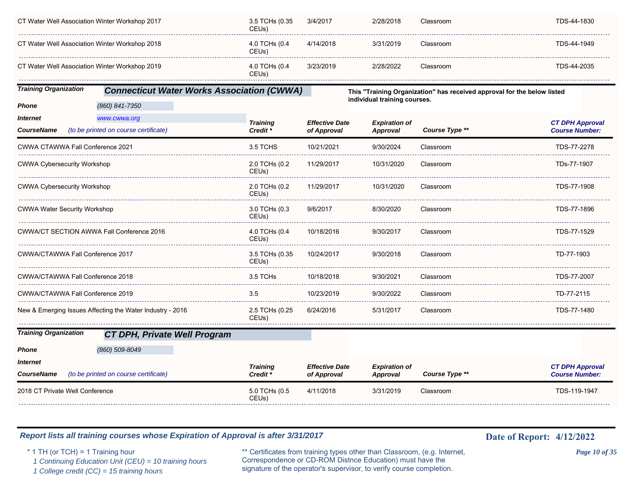| CT Water Well Association Winter Workshop 2017 | 3.5 TCHs (0.35<br>CEUs) | 3/4/2017  | 2/28/2018 | Classroom | TDS-44-1830 |
|------------------------------------------------|-------------------------|-----------|-----------|-----------|-------------|
| CT Water Well Association Winter Workshop 2018 | 4.0 TCHs (0.4<br>CEUs)  | 4/14/2018 | 3/31/2019 | Classroom | TDS-44-1949 |
| CT Water Well Association Winter Workshop 2019 | 4.0 TCHs (0.4<br>CEUs)  | 3/23/2019 | 2/28/2022 | Classroom | TDS-44-2035 |

*Training Organization Connecticut Water Works Association (CWWA)*

*(860) 841-7350*

**This "Training Organization" has received approval for the below listed individual training courses.**

| <i><b>Internet</b></i><br>www.cwwa.org<br>(to be printed on course certificate)<br><b>CourseName</b> | <b>Training</b><br>Credit <sup>*</sup> | <b>Effective Date</b><br>of Approval | <b>Expiration of</b><br>Approval | Course Type ** | <b>CT DPH Approval</b><br><b>Course Number:</b> |
|------------------------------------------------------------------------------------------------------|----------------------------------------|--------------------------------------|----------------------------------|----------------|-------------------------------------------------|
| CWWA CTAWWA Fall Conference 2021                                                                     | 3.5 TCHS                               | 10/21/2021                           | 9/30/2024                        | Classroom      | TDS-77-2278                                     |
| <b>CWWA Cybersecurity Workshop</b>                                                                   | 2.0 TCHs (0.2<br>CEUs)                 | 11/29/2017                           | 10/31/2020                       | Classroom      | TDs-77-1907                                     |
| <b>CWWA Cybersecurity Workshop</b>                                                                   | 2.0 TCHs (0.2<br>CEUs)                 | 11/29/2017                           | 10/31/2020                       | Classroom      | TDS-77-1908                                     |
| <b>CWWA Water Security Workshop</b>                                                                  | 3.0 TCHs (0.3<br>CEUs)                 | 9/6/2017                             | 8/30/2020                        | Classroom      | TDS-77-1896                                     |
| CWWA/CT SECTION AWWA Fall Conference 2016                                                            | 4.0 TCHs (0.4<br>CEUs)                 | 10/18/2016                           | 9/30/2017                        | Classroom      | TDS-77-1529                                     |
| CWWA/CTAWWA Fall Conference 2017                                                                     | 3.5 TCHs (0.35<br>CEUs)                | 10/24/2017                           | 9/30/2018                        | Classroom      | TD-77-1903                                      |
| CWWA/CTAWWA Fall Conference 2018                                                                     | 3.5 TCHs                               | 10/18/2018                           | 9/30/2021                        | Classroom      | TDS-77-2007                                     |
| CWWA/CTAWWA Fall Conference 2019                                                                     | 3.5                                    | 10/23/2019                           | 9/30/2022                        | Classroom      | TD-77-2115                                      |
| New & Emerging Issues Affecting the Water Industry - 2016                                            | 2.5 TCHs (0.25<br>CEUs)                | 6/24/2016                            | 5/31/2017                        | Classroom      | TDS-77-1480                                     |
| <b>Training Organization</b><br><b>CT DPH, Private Well Program</b>                                  |                                        |                                      |                                  |                |                                                 |
| (860) 509-8049<br><b>Phone</b>                                                                       |                                        |                                      |                                  |                |                                                 |
| <b>Internet</b><br><b>CourseName</b><br>(to be printed on course certificate)                        | <b>Training</b><br>Credit *            | <b>Effective Date</b><br>of Approval | <b>Expiration of</b><br>Approval | Course Type ** | <b>CT DPH Approval</b><br><b>Course Number:</b> |
| 2018 CT Private Well Conference                                                                      | 5.0 TCHs (0.5<br>CEUs)                 | 4/11/2018                            | 3/31/2019                        | Classroom      | TDS-119-1947                                    |

### *Report lists all training courses whose Expiration of Approval is after 3/31/2017* **Date of Report:** 4/12/2022

*Phone*

\* 1 TH (or TCH) = 1 Training hour \*\* Certificates from training types other than Classroom, (e.g. Internet, *Page 10 of 35* Correspondence or CD-ROM Distnce Education) must have the 1 Continuing Education Unit (CEU) = 10 training hours Correspondence or CD-ROM Distnee Education) must have the <br>1 College credit (CC) = 15 training hours signature of the operator's supervisor, to verify course completion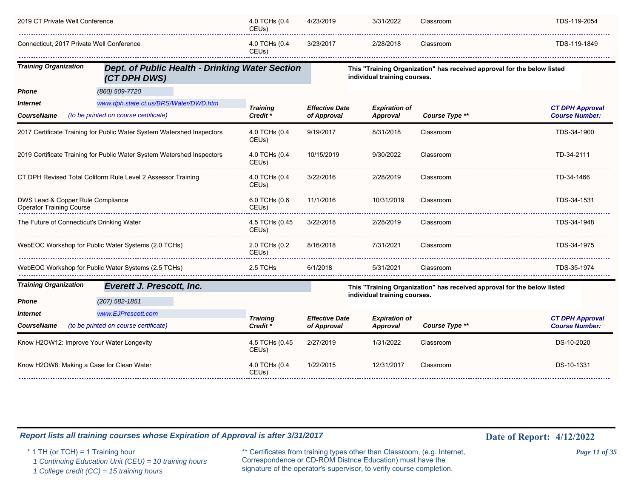| 2019 CT Private Well Conference                                      |                                                                        | 4.0 TCHs (0.4<br>CEU <sub>s</sub> ) | 4/23/2019             | 3/31/2022                    | Classroom                                                               | TDS-119-2054           |
|----------------------------------------------------------------------|------------------------------------------------------------------------|-------------------------------------|-----------------------|------------------------------|-------------------------------------------------------------------------|------------------------|
| Connecticut, 2017 Private Well Conference                            |                                                                        | 4.0 TCHs (0.4<br>CEUs)              | 3/23/2017             | 2/28/2018                    | Classroom                                                               | TDS-119-1849           |
| <b>Training Organization</b>                                         | Dept. of Public Health - Drinking Water Section<br>(CT DPH DWS)        |                                     |                       | individual training courses. | This "Training Organization" has received approval for the below listed |                        |
| <b>Phone</b>                                                         | (860) 509-7720                                                         |                                     |                       |                              |                                                                         |                        |
| <i><b>Internet</b></i>                                               | www.dph.state.ct.us/BRS/Water/DWD.htm                                  | <b>Training</b>                     | <b>Effective Date</b> | <b>Expiration of</b>         |                                                                         | <b>CT DPH Approval</b> |
| <b>CourseName</b>                                                    | (to be printed on course certificate)                                  | Credit <sup>*</sup>                 | of Approval           | <b>Approval</b>              | Course Type **                                                          | <b>Course Number:</b>  |
|                                                                      | 2017 Certificate Training for Public Water System Watershed Inspectors | 4.0 TCHs (0.4<br>CEUs)              | 9/19/2017             | 8/31/2018                    | Classroom                                                               | TDS-34-1900            |
|                                                                      | 2019 Certificate Training for Public Water System Watershed Inspectors | 4.0 TCHs (0.4<br>CEUs)              | 10/15/2019            | 9/30/2022                    | Classroom                                                               | TD-34-2111             |
|                                                                      | CT DPH Revised Total Coliform Rule Level 2 Assessor Training           | 4.0 TCHs (0.4<br>CEUs)              | 3/22/2016             | 2/28/2019                    | Classroom                                                               | TD-34-1466             |
| DWS Lead & Copper Rule Compliance<br><b>Operator Training Course</b> |                                                                        | 6.0 TCHs (0.6<br>CEUs)              | 11/1/2016             | 10/31/2019                   | Classroom                                                               | TDS-34-1531            |
| The Future of Connecticut's Drinking Water                           |                                                                        | 4.5 TCHs (0.45<br>CEUs)             | 3/22/2018             | 2/28/2019                    | Classroom                                                               | TDS-34-1948            |
|                                                                      | WebEOC Workshop for Public Water Systems (2.0 TCHs)                    | 2.0 TCHs (0.2<br>CEUs)              | 8/16/2018             | 7/31/2021                    | Classroom                                                               | TDS-34-1975            |
|                                                                      | WebEOC Workshop for Public Water Systems (2.5 TCHs)                    | 2.5 TCHs                            | 6/1/2018              | 5/31/2021                    | Classroom                                                               | TDS-35-1974            |
| <b>Training Organization</b>                                         | <b>Everett J. Prescott, Inc.</b>                                       |                                     |                       |                              | This "Training Organization" has received approval for the below listed |                        |
| Phone                                                                | (207) 582-1851                                                         |                                     |                       | individual training courses. |                                                                         |                        |
| <i><b>Internet</b></i>                                               | www.EJPrescott.com                                                     | <b>Training</b>                     | <b>Effective Date</b> | <b>Expiration of</b>         |                                                                         | <b>CT DPH Approval</b> |
| <b>CourseName</b>                                                    | (to be printed on course certificate)                                  | Credit <sup>*</sup>                 | of Approval           | Approval                     | Course Type **                                                          | <b>Course Number:</b>  |
| Know H2OW12: Improve Your Water Longevity                            |                                                                        | 4.5 TCHs (0.45<br>CEUs)             | 2/27/2019             | 1/31/2022                    | Classroom                                                               | DS-10-2020             |
| Know H2OW8: Making a Case for Clean Water                            |                                                                        | 4.0 TCHs (0.4<br>CEU <sub>s</sub> ) | 1/22/2015             | 12/31/2017                   | Classroom                                                               | DS-10-1331             |

\* 1 TH (or TCH) = 1 Training hour \*\* Certificates from training types other than Classroom, (e.g. Internet, *Page 11 of 35* Correspondence or CD-ROM Distnce Education) must have the 1 Continuing Education Unit (CEU) = 10 training hours Correspondence or CD-ROM Distnce Education) must have the 1 College credit (CC) = 15 training hours signature of the operator's supervisor, to verify course completion.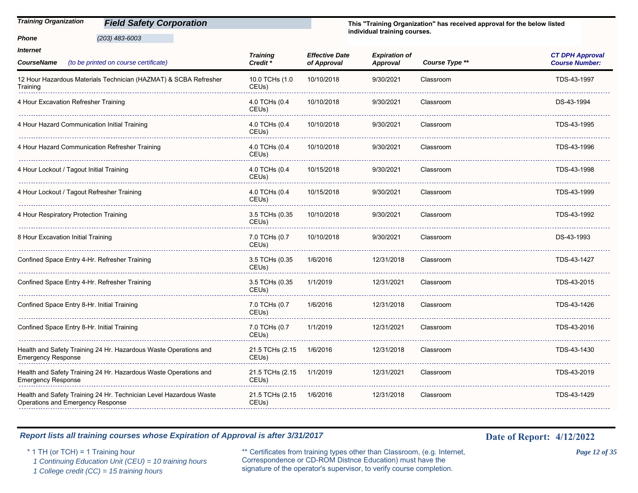| <b>Field Safety Corporation</b> |
|---------------------------------|
|                                 |
| <b>Training Organization</b>    |

*(203) 483-6003*

*Phone*

**This "Training Organization" has received approval for the below listed individual training courses.**

| <i><b>Internet</b></i><br>(to be printed on course certificate)<br><b>CourseName</b>                    | <b>Training</b><br>Credit <sup>*</sup> | <b>Effective Date</b><br>of Approval | <b>Expiration of</b><br>Approval | Course Type ** | <b>CT DPH Approval</b><br><b>Course Number:</b> |
|---------------------------------------------------------------------------------------------------------|----------------------------------------|--------------------------------------|----------------------------------|----------------|-------------------------------------------------|
| 12 Hour Hazardous Materials Technician (HAZMAT) & SCBA Refresher<br>Training                            | 10.0 TCHs (1.0<br>CEU <sub>s</sub> )   | 10/10/2018                           | 9/30/2021                        | Classroom      | TDS-43-1997                                     |
| 4 Hour Excavation Refresher Training                                                                    | 4.0 TCHs (0.4<br>CEUs)                 | 10/10/2018                           | 9/30/2021                        | Classroom      | DS-43-1994                                      |
| 4 Hour Hazard Communication Initial Training                                                            | 4.0 TCHs (0.4<br>CEUs)                 | 10/10/2018                           | 9/30/2021                        | Classroom      | TDS-43-1995                                     |
| 4 Hour Hazard Communication Refresher Training                                                          | 4.0 TCHs (0.4<br>CEUs)                 | 10/10/2018                           | 9/30/2021                        | Classroom      | TDS-43-1996                                     |
| 4 Hour Lockout / Tagout Initial Training                                                                | 4.0 TCHs (0.4<br>CEUs)                 | 10/15/2018                           | 9/30/2021                        | Classroom      | TDS-43-1998                                     |
| 4 Hour Lockout / Tagout Refresher Training                                                              | 4.0 TCHs (0.4<br>CEU <sub>s</sub> )    | 10/15/2018                           | 9/30/2021                        | Classroom      | TDS-43-1999                                     |
| 4 Hour Respiratory Protection Training                                                                  | 3.5 TCHs (0.35<br>CEU <sub>s</sub> )   | 10/10/2018                           | 9/30/2021                        | Classroom      | TDS-43-1992                                     |
| 8 Hour Excavation Initial Training                                                                      | 7.0 TCHs (0.7<br>CEU <sub>s</sub> )    | 10/10/2018                           | 9/30/2021                        | Classroom      | DS-43-1993                                      |
| Confined Space Entry 4-Hr. Refresher Training                                                           | 3.5 TCHs (0.35<br>CEU <sub>s</sub> )   | 1/6/2016                             | 12/31/2018                       | Classroom      | TDS-43-1427                                     |
| Confined Space Entry 4-Hr. Refresher Training                                                           | 3.5 TCHs (0.35<br>CEUs)                | 1/1/2019                             | 12/31/2021                       | Classroom      | TDS-43-2015                                     |
| Confined Space Entry 8-Hr. Initial Training                                                             | 7.0 TCHs (0.7<br>CEUs)                 | 1/6/2016                             | 12/31/2018                       | Classroom      | TDS-43-1426                                     |
| Confined Space Entry 8-Hr. Initial Training                                                             | 7.0 TCHs (0.7<br>CEUs)                 | 1/1/2019                             | 12/31/2021                       | Classroom      | TDS-43-2016                                     |
| Health and Safety Training 24 Hr. Hazardous Waste Operations and<br><b>Emergency Response</b>           | 21.5 TCHs (2.15<br>CEU <sub>s</sub> )  | 1/6/2016                             | 12/31/2018                       | Classroom      | TDS-43-1430                                     |
| Health and Safety Training 24 Hr. Hazardous Waste Operations and<br><b>Emergency Response</b>           | 21.5 TCHs (2.15<br>CEU <sub>s</sub> )  | 1/1/2019                             | 12/31/2021                       | Classroom      | TDS-43-2019                                     |
| Health and Safety Training 24 Hr. Technician Level Hazardous Waste<br>Operations and Emergency Response | 21.5 TCHs (2.15<br>CEUs)               | 1/6/2016                             | 12/31/2018                       | Classroom      | TDS-43-1429                                     |

### *Report lists all training courses whose Expiration of Approval is after 3/31/2017* **Date of Report:** 4/12/2022

\* 1 TH (or TCH) = 1 Training hour \*\* Certificates from training types other than Classroom, (e.g. Internet, *Page 12 of 35* Correspondence or CD-ROM Distnce Education) must have the 1 Continuing Education Unit (CEU) = 10 training hours Correspondence or CD-ROM Distnce Education) must have the <br>1 College credit (CC) = 15 training hours signature of the operator's supervisor, to verify course completion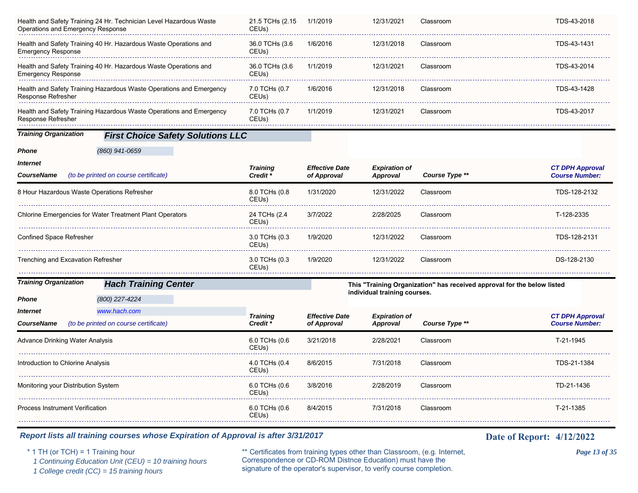| Operations and Emergency Response           | Health and Safety Training 24 Hr. Technician Level Hazardous Waste  | 21.5 TCHs (2.15<br>CEU <sub>s</sub> )  | 1/1/2019                             | 12/31/2021                              | Classroom                                                               | TDS-43-2018                                     |
|---------------------------------------------|---------------------------------------------------------------------|----------------------------------------|--------------------------------------|-----------------------------------------|-------------------------------------------------------------------------|-------------------------------------------------|
| <b>Emergency Response</b>                   | Health and Safety Training 40 Hr. Hazardous Waste Operations and    | 36.0 TCHs (3.6<br>CEU <sub>s</sub> )   | 1/6/2016                             | 12/31/2018                              | Classroom                                                               | TDS-43-1431                                     |
| <b>Emergency Response</b>                   | Health and Safety Training 40 Hr. Hazardous Waste Operations and    | 36.0 TCHs (3.6)<br>CEUs)               | 1/1/2019                             | 12/31/2021                              | Classroom                                                               | TDS-43-2014                                     |
| Response Refresher                          | Health and Safety Training Hazardous Waste Operations and Emergency | 7.0 TCHs (0.7<br>CEUs)                 | 1/6/2016                             | 12/31/2018                              | Classroom                                                               | TDS-43-1428                                     |
| <b>Response Refresher</b>                   | Health and Safety Training Hazardous Waste Operations and Emergency | 7.0 TCHs (0.7<br>CEUs)                 | 1/1/2019                             | 12/31/2021                              | Classroom                                                               | TDS-43-2017                                     |
| <b>Training Organization</b>                | <b>First Choice Safety Solutions LLC</b>                            |                                        |                                      |                                         |                                                                         |                                                 |
| <b>Phone</b>                                | (860) 941-0659                                                      |                                        |                                      |                                         |                                                                         |                                                 |
| <b>Internet</b><br><b>CourseName</b>        | (to be printed on course certificate)                               | <b>Training</b><br>Credit <sup>*</sup> | <b>Effective Date</b><br>of Approval | <b>Expiration of</b><br><b>Approval</b> | Course Type **                                                          | <b>CT DPH Approval</b><br><b>Course Number:</b> |
| 8 Hour Hazardous Waste Operations Refresher |                                                                     | 8.0 TCHs (0.8<br>CEUs)                 | 1/31/2020                            | 12/31/2022                              | Classroom                                                               | TDS-128-2132                                    |
|                                             | <b>Chlorine Emergencies for Water Treatment Plant Operators</b>     | 24 TCHs (2.4<br>CEUs)                  | 3/7/2022                             | 2/28/2025                               | Classroom                                                               | T-128-2335                                      |
| <b>Confined Space Refresher</b>             |                                                                     | 3.0 TCHs (0.3<br>CEUs)                 | 1/9/2020                             | 12/31/2022                              | Classroom                                                               | TDS-128-2131                                    |
| Trenching and Excavation Refresher          |                                                                     | 3.0 TCHs (0.3<br>CEUs)                 | 1/9/2020                             | 12/31/2022                              | Classroom                                                               | DS-128-2130                                     |
| <b>Training Organization</b>                | <b>Hach Training Center</b>                                         |                                        |                                      |                                         | This "Training Organization" has received approval for the below listed |                                                 |
| <b>Phone</b>                                | (800) 227-4224                                                      |                                        |                                      | individual training courses.            |                                                                         |                                                 |
| <b>Internet</b>                             | www.hach.com                                                        | <b>Training</b>                        | <b>Effective Date</b>                | <b>Expiration of</b>                    |                                                                         | <b>CT DPH Approval</b>                          |
| <b>CourseName</b>                           | (to be printed on course certificate)                               | Credit *                               | of Approval                          | Approval                                | Course Type **                                                          | <b>Course Number:</b>                           |
| <b>Advance Drinking Water Analysis</b>      |                                                                     | 6.0 TCHs (0.6<br>CEUs)                 | 3/21/2018                            | 2/28/2021                               | Classroom                                                               | T-21-1945                                       |
| Introduction to Chlorine Analysis           |                                                                     | 4.0 TCHs (0.4<br>CEUs)                 | 8/6/2015                             | 7/31/2018                               | Classroom                                                               | TDS-21-1384                                     |
| Monitoring your Distribution System         |                                                                     | 6.0 TCHs (0.6<br>CEUs)                 | 3/8/2016                             | 2/28/2019                               | Classroom                                                               | TD-21-1436                                      |
| <b>Process Instrument Verification</b>      |                                                                     | 6.0 TCHs (0.6<br>CEUs)                 | 8/4/2015                             | 7/31/2018                               | Classroom                                                               | T-21-1385                                       |
|                                             |                                                                     |                                        |                                      |                                         |                                                                         |                                                 |

\* 1 TH (or TCH) = 1 Training hour \*\* Certificates from training types other than Classroom, (e.g. Internet, *Page 13 of 35* Correspondence or CD-ROM Distnce Education) must have the 1 Continuing Education Unit (CEU) = 10 training hours Correspondence or CD-ROM Distnce Education) must have the 1 College credit (CC) = 15 training hours signature of the operator's supervisor, to verify course completion.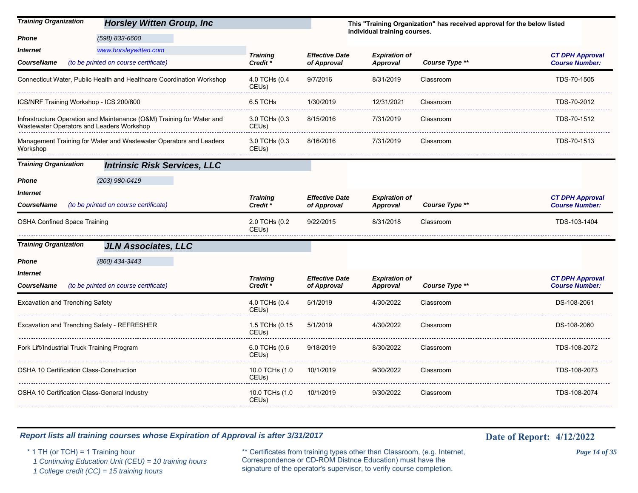| <b>Training Organization</b>                    | <b>Horsley Witten Group, Inc.</b>                                     |                                        |                                      |                                         | This "Training Organization" has received approval for the below listed |                                                 |
|-------------------------------------------------|-----------------------------------------------------------------------|----------------------------------------|--------------------------------------|-----------------------------------------|-------------------------------------------------------------------------|-------------------------------------------------|
| Phone                                           | (598) 833-6600                                                        |                                        |                                      | individual training courses.            |                                                                         |                                                 |
| Internet<br>CourseName                          | www.horsleywitten.com<br>(to be printed on course certificate)        | <b>Training</b><br>Credit *            | <b>Effective Date</b><br>of Approval | <b>Expiration of</b><br>Approval        | Course Type **                                                          | <b>CT DPH Approval</b><br><b>Course Number:</b> |
|                                                 | Connecticut Water, Public Health and Healthcare Coordination Workshop | 4.0 TCHs (0.4<br>CEUs)                 | 9/7/2016                             | 8/31/2019                               | Classroom                                                               | TDS-70-1505                                     |
| ICS/NRF Training Workshop - ICS 200/800         |                                                                       | 6.5 TCHs                               | 1/30/2019                            | 12/31/2021                              | Classroom                                                               | TDS-70-2012                                     |
| Wastewater Operators and Leaders Workshop       | Infrastructure Operation and Maintenance (O&M) Training for Water and | 3.0 TCHs (0.3<br>CEU <sub>s</sub> )    | 8/15/2016                            | 7/31/2019                               | Classroom                                                               | TDS-70-1512                                     |
| Workshop                                        | Management Training for Water and Wastewater Operators and Leaders    | 3.0 TCHs (0.3<br>CEU <sub>s</sub> )    | 8/16/2016                            | 7/31/2019                               | Classroom                                                               | TDS-70-1513                                     |
| <b>Training Organization</b>                    | <b>Intrinsic Risk Services, LLC</b>                                   |                                        |                                      |                                         |                                                                         |                                                 |
| Phone                                           | (203) 980-0419                                                        |                                        |                                      |                                         |                                                                         |                                                 |
| Internet<br>CourseName                          | (to be printed on course certificate)                                 | <b>Training</b><br>Credit <sup>*</sup> | <b>Effective Date</b><br>of Approval | <b>Expiration of</b><br>Approval        | Course Type **                                                          | <b>CT DPH Approval</b><br><b>Course Number:</b> |
| <b>OSHA Confined Space Training</b>             |                                                                       | 2.0 TCHs (0.2<br>CEU <sub>s</sub> )    | 9/22/2015                            | 8/31/2018                               | Classroom                                                               | TDS-103-1404                                    |
| <b>Training Organization</b>                    | <b>JLN Associates, LLC</b>                                            |                                        |                                      |                                         |                                                                         |                                                 |
| Phone                                           | (860) 434-3443                                                        |                                        |                                      |                                         |                                                                         |                                                 |
| Internet<br>CourseName                          | (to be printed on course certificate)                                 | <b>Training</b><br>Credit *            | <b>Effective Date</b><br>of Approval | <b>Expiration of</b><br><b>Approval</b> | Course Type **                                                          | <b>CT DPH Approval</b><br><b>Course Number:</b> |
| Excavation and Trenching Safety                 |                                                                       | 4.0 TCHs (0.4<br>CEU <sub>s</sub> )    | 5/1/2019                             | 4/30/2022                               | Classroom                                                               | DS-108-2061                                     |
| Excavation and Trenching Safety - REFRESHER     |                                                                       | 1.5 TCHs (0.15<br>CEUs)                | 5/1/2019                             | 4/30/2022                               | Classroom                                                               | DS-108-2060                                     |
| Fork Lift/Industrial Truck Training Program     |                                                                       | 6.0 TCHs (0.6<br>CEU <sub>s</sub> )    | 9/18/2019                            | 8/30/2022                               | Classroom                                                               | TDS-108-2072                                    |
| <b>OSHA 10 Certification Class-Construction</b> |                                                                       | 10.0 TCHs (1.0<br>CEU <sub>s</sub> )   | 10/1/2019                            | 9/30/2022                               | Classroom                                                               | TDS-108-2073                                    |
| OSHA 10 Certification Class-General Industry    |                                                                       | 10.0 TCHs (1.0<br>CEU <sub>s</sub> )   | 10/1/2019                            | 9/30/2022                               | Classroom                                                               | TDS-108-2074                                    |

\* 1 TH (or TCH) = 1 Training hour \*\* Certificates from training types other than Classroom, (e.g. Internet, *Page 14 of 35* Correspondence or CD-ROM Distnce Education) must have the 1 Continuing Education Unit (CEU) = 10 training hours Correspondence or CD-ROM Distnee Education) must have the 1 College credit (CC) = 15 training hours signature of the operator's supervisor, to verify course completion.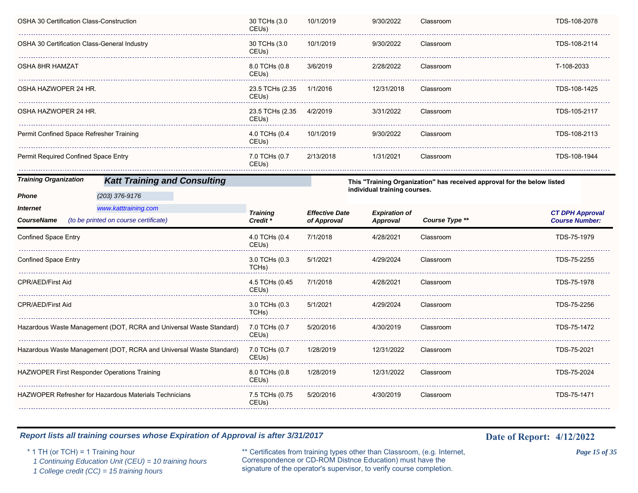| OSHA 30 Certification Class-Construction     |                                                                     | 30 TCHs (3.0<br>CEU <sub>s</sub> )    | 10/1/2019             | 9/30/2022                               | Classroom                                                               | TDS-108-2078                                    |
|----------------------------------------------|---------------------------------------------------------------------|---------------------------------------|-----------------------|-----------------------------------------|-------------------------------------------------------------------------|-------------------------------------------------|
| OSHA 30 Certification Class-General Industry |                                                                     | 30 TCHs (3.0<br>CEUs)                 | 10/1/2019             | 9/30/2022                               | Classroom                                                               | TDS-108-2114                                    |
| OSHA 8HR HAMZAT                              |                                                                     | 8.0 TCHs (0.8<br>CEUs)                | 3/6/2019              | 2/28/2022                               | Classroom                                                               | T-108-2033                                      |
| OSHA HAZWOPER 24 HR.                         |                                                                     | 23.5 TCHs (2.35<br>CEUs)              | 1/1/2016              | 12/31/2018                              | Classroom                                                               | TDS-108-1425                                    |
| OSHA HAZWOPER 24 HR.                         |                                                                     | 23.5 TCHs (2.35<br>CEU <sub>s</sub> ) | 4/2/2019              | 3/31/2022                               | Classroom                                                               | TDS-105-2117                                    |
| Permit Confined Space Refresher Training     |                                                                     | 4.0 TCHs (0.4<br>CEU <sub>s</sub> )   | 10/1/2019             | 9/30/2022                               | Classroom                                                               | TDS-108-2113                                    |
| Permit Required Confined Space Entry         |                                                                     | 7.0 TCHs (0.7<br>CEUs)                | 2/13/2018             | 1/31/2021                               | Classroom                                                               | TDS-108-1944                                    |
| <b>Training Organization</b>                 | <b>Katt Training and Consulting</b>                                 |                                       |                       |                                         | This "Training Organization" has received approval for the below listed |                                                 |
| Phone                                        | (203) 376-9176                                                      |                                       |                       | individual training courses.            |                                                                         |                                                 |
| <i><b>Internet</b></i>                       | www.katttraining.com                                                |                                       | <b>Effective Date</b> |                                         |                                                                         |                                                 |
| <b>CourseName</b>                            | (to be printed on course certificate)                               | <b>Training</b><br>Credit *           | of Approval           | <b>Expiration of</b><br><b>Approval</b> | Course Type **                                                          | <b>CT DPH Approval</b><br><b>Course Number:</b> |
| Confined Space Entry                         |                                                                     | 4.0 TCHs (0.4<br>CEUs)                | 7/1/2018              | 4/28/2021                               | Classroom                                                               | TDS-75-1979                                     |
| <b>Confined Space Entry</b>                  |                                                                     | 3.0 TCHs (0.3<br>TCH <sub>s</sub> )   | 5/1/2021              | 4/29/2024                               | Classroom                                                               | TDS-75-2255                                     |
| CPR/AED/First Aid                            |                                                                     | 4.5 TCHs (0.45<br>CEUs)               | 7/1/2018              | 4/28/2021                               | Classroom                                                               | TDS-75-1978                                     |
| <b>CPR/AED/First Aid</b>                     |                                                                     | 3.0 TCHs (0.3<br>TCHs)                | 5/1/2021              | 4/29/2024                               | Classroom                                                               | TDS-75-2256                                     |
|                                              | Hazardous Waste Management (DOT, RCRA and Universal Waste Standard) | 7.0 TCHs (0.7<br>CEUs)                | 5/20/2016             | 4/30/2019                               | Classroom                                                               | TDS-75-1472                                     |
|                                              | Hazardous Waste Management (DOT, RCRA and Universal Waste Standard) | 7.0 TCHs (0.7<br>CEUs)                | 1/28/2019             | 12/31/2022                              | Classroom                                                               | TDS-75-2021                                     |
| HAZWOPER First Responder Operations Training |                                                                     | 8.0 TCHs (0.8<br>CEU <sub>s</sub> )   | 1/28/2019             | 12/31/2022                              | Classroom                                                               | TDS-75-2024                                     |
|                                              | HAZWOPER Refresher for Hazardous Materials Technicians              | 7.5 TCHs (0.75<br>CEUs)               | 5/20/2016             | 4/30/2019                               | Classroom                                                               | TDS-75-1471                                     |
|                                              |                                                                     |                                       |                       |                                         |                                                                         |                                                 |

\* 1 TH (or TCH) = 1 Training hour \*\* Certificates from training types other than Classroom, (e.g. Internet, *Page 15 of 35* Correspondence or CD-ROM Distnce Education) must have the 1 Continuing Education Unit (CEU) = 10 training hours Correspondence or CD-ROM Distnee Education) must have the 1 College credit (CC) = 15 training hours signature of the operator's supervisor, to verify course completion.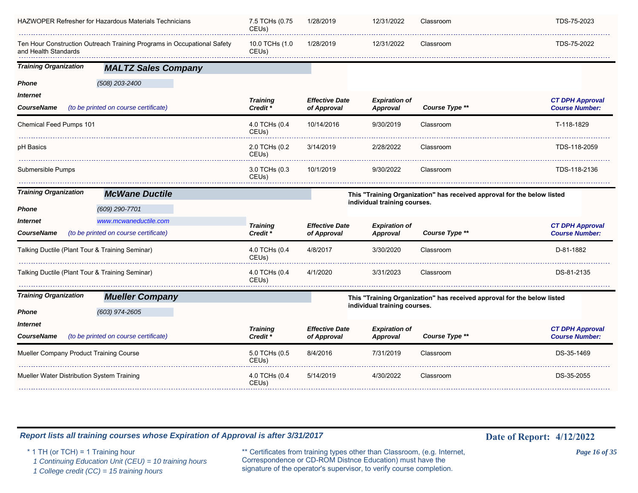|                                                 | HAZWOPER Refresher for Hazardous Materials Technicians                  | 7.5 TCHs (0.75<br>CEUs)                | 1/28/2019                            | 12/31/2022                              | Classroom                                                               | TDS-75-2023                                     |
|-------------------------------------------------|-------------------------------------------------------------------------|----------------------------------------|--------------------------------------|-----------------------------------------|-------------------------------------------------------------------------|-------------------------------------------------|
| and Health Standards                            | Ten Hour Construction Outreach Training Programs in Occupational Safety | 10.0 TCHs (1.0<br>CEUs)                | 1/28/2019                            | 12/31/2022                              | Classroom                                                               | TDS-75-2022                                     |
| <b>Training Organization</b>                    | <b>MALTZ Sales Company</b>                                              |                                        |                                      |                                         |                                                                         |                                                 |
| Phone<br><i><b>Internet</b></i><br>CourseName   | (508) 203-2400<br>(to be printed on course certificate)                 | <b>Training</b><br>Credit <sup>*</sup> | <b>Effective Date</b><br>of Approval | <b>Expiration of</b><br><b>Approval</b> | Course Type **                                                          | <b>CT DPH Approval</b><br><b>Course Number:</b> |
| Chemical Feed Pumps 101                         |                                                                         | 4.0 TCHs (0.4<br>CEUs)                 | 10/14/2016                           | 9/30/2019                               | Classroom                                                               | T-118-1829                                      |
| pH Basics                                       |                                                                         | 2.0 TCHs (0.2<br>CEUs)                 | 3/14/2019                            | 2/28/2022                               | Classroom                                                               | TDS-118-2059                                    |
| Submersible Pumps                               |                                                                         | 3.0 TCHs (0.3<br>CEUs)                 | 10/1/2019                            | 9/30/2022                               | Classroom                                                               | TDS-118-2136                                    |
| <b>Training Organization</b>                    | <b>McWane Ductile</b>                                                   |                                        |                                      |                                         | This "Training Organization" has received approval for the below listed |                                                 |
| Phone                                           | (609) 290-7701                                                          |                                        |                                      | individual training courses.            |                                                                         |                                                 |
| Internet<br><b>CourseName</b>                   | www.mcwaneductile.com<br>(to be printed on course certificate)          | <b>Training</b><br>Credit <sup>*</sup> | <b>Effective Date</b><br>of Approval | <b>Expiration of</b><br><b>Approval</b> | Course Type **                                                          | <b>CT DPH Approval</b><br><b>Course Number:</b> |
| Talking Ductile (Plant Tour & Training Seminar) |                                                                         | 4.0 TCHs (0.4<br>CEUs)                 | 4/8/2017                             | 3/30/2020                               | Classroom                                                               | D-81-1882                                       |
| Talking Ductile (Plant Tour & Training Seminar) |                                                                         | 4.0 TCHs (0.4<br>CEUs)                 | 4/1/2020                             | 3/31/2023                               | Classroom                                                               | DS-81-2135                                      |
| <b>Training Organization</b>                    | <b>Mueller Company</b>                                                  |                                        |                                      |                                         | This "Training Organization" has received approval for the below listed |                                                 |
| <b>Phone</b>                                    | $(603)$ 974-2605                                                        |                                        |                                      | individual training courses.            |                                                                         |                                                 |
| <i><b>Internet</b></i><br><b>CourseName</b>     | (to be printed on course certificate)                                   | <b>Training</b><br>Credit <sup>*</sup> | <b>Effective Date</b><br>of Approval | <b>Expiration of</b><br><b>Approval</b> | Course Type **                                                          | <b>CT DPH Approval</b><br><b>Course Number:</b> |
| Mueller Company Product Training Course         |                                                                         | 5.0 TCHs (0.5                          | 8/4/2016                             | 7/31/2019                               | Classroom                                                               | DS-35-1469                                      |
|                                                 |                                                                         | CEU <sub>s</sub> )                     |                                      |                                         |                                                                         |                                                 |
| Mueller Water Distribution System Training      |                                                                         | 4.0 TCHs (0.4<br>CEUs)                 | 5/14/2019                            | 4/30/2022                               | Classroom                                                               | DS-35-2055                                      |

\* 1 TH (or TCH) = 1 Training hour \*\* Certificates from training types other than Classroom, (e.g. Internet, *Page 16 of 35* Correspondence or CD-ROM Distnce Education) must have the 1 Continuing Education Unit (CEU) = 10 training hours Correspondence or CD-ROM Distnce Education) must have the 1 College credit (CC) = 15 training hours signature of the operator's supervisor, to verify course completion.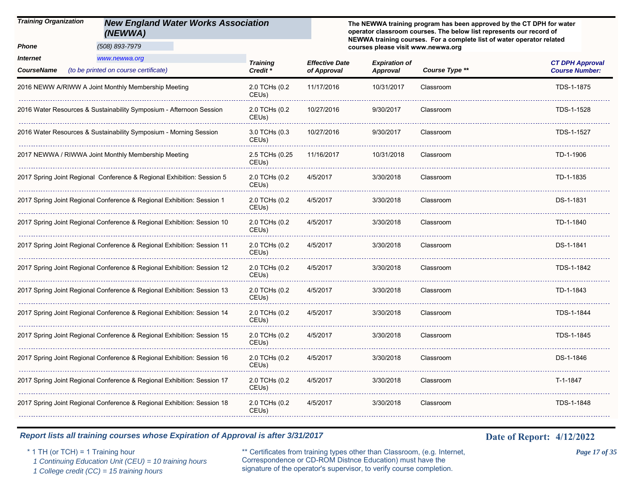#### *Training Organization New England Water Works Association (NEWWA)*

*(508) 893-7979*

*Phone*

**The NEWWA training program has been approved by the CT DPH for water operator classroom courses. The below list represents our record of NEWWA training courses. For a complete list of water operator related courses please visit www.newwa.org**

| Internet<br><b>CourseName</b> | www.newwa.org<br>(to be printed on course certificate)                  | <b>Training</b><br>Credit <sup>*</sup> | <b>Effective Date</b><br>of Approval | <b>Expiration of</b><br>Approval | Course Type ** | <b>CT DPH Approval</b><br><b>Course Number:</b> |
|-------------------------------|-------------------------------------------------------------------------|----------------------------------------|--------------------------------------|----------------------------------|----------------|-------------------------------------------------|
|                               | 2016 NEWW A/RIWW A Joint Monthly Membership Meeting                     | 2.0 TCHs (0.2<br>CEUs)                 | 11/17/2016                           | 10/31/2017                       | Classroom      | TDS-1-1875                                      |
|                               | 2016 Water Resources & Sustainability Symposium - Afternoon Session     | 2.0 TCHs (0.2<br>CEU <sub>s</sub> )    | 10/27/2016                           | 9/30/2017                        | Classroom      | TDS-1-1528                                      |
|                               | 2016 Water Resources & Sustainability Symposium - Morning Session       | 3.0 TCHs (0.3<br>CEUs)                 | 10/27/2016                           | 9/30/2017                        | Classroom      | TDS-1-1527                                      |
|                               | 2017 NEWWA / RIWWA Joint Monthly Membership Meeting                     | 2.5 TCHs (0.25<br>CEUs)                | 11/16/2017                           | 10/31/2018                       | Classroom      | TD-1-1906                                       |
|                               | 2017 Spring Joint Regional Conference & Regional Exhibition: Session 5  | 2.0 TCHs (0.2<br>CEUs)                 | 4/5/2017                             | 3/30/2018                        | Classroom      | TD-1-1835                                       |
|                               | 2017 Spring Joint Regional Conference & Regional Exhibition: Session 1  | 2.0 TCHs (0.2<br>CEUs)                 | 4/5/2017                             | 3/30/2018                        | Classroom      | DS-1-1831                                       |
|                               | 2017 Spring Joint Regional Conference & Regional Exhibition: Session 10 | 2.0 TCHs (0.2<br>CEU <sub>s</sub> )    | 4/5/2017                             | 3/30/2018                        | Classroom      | TD-1-1840                                       |
|                               | 2017 Spring Joint Regional Conference & Regional Exhibition: Session 11 | 2.0 TCHs (0.2<br>CEUs)                 | 4/5/2017                             | 3/30/2018                        | Classroom      | DS-1-1841                                       |
|                               | 2017 Spring Joint Regional Conference & Regional Exhibition: Session 12 | 2.0 TCHs (0.2<br>CEUs)                 | 4/5/2017                             | 3/30/2018                        | Classroom      | TDS-1-1842                                      |
|                               | 2017 Spring Joint Regional Conference & Regional Exhibition: Session 13 | 2.0 TCHs (0.2<br>CEU <sub>s</sub> )    | 4/5/2017                             | 3/30/2018                        | Classroom      | TD-1-1843                                       |
|                               | 2017 Spring Joint Regional Conference & Regional Exhibition: Session 14 | 2.0 TCHs (0.2<br>CEUs)                 | 4/5/2017                             | 3/30/2018                        | Classroom      | TDS-1-1844                                      |
|                               | 2017 Spring Joint Regional Conference & Regional Exhibition: Session 15 | 2.0 TCHs (0.2<br>CEUs)                 | 4/5/2017                             | 3/30/2018                        | Classroom      | TDS-1-1845                                      |
|                               | 2017 Spring Joint Regional Conference & Regional Exhibition: Session 16 | 2.0 TCHs (0.2<br>CEUs)                 | 4/5/2017                             | 3/30/2018                        | Classroom      | DS-1-1846                                       |
|                               | 2017 Spring Joint Regional Conference & Regional Exhibition: Session 17 | 2.0 TCHs (0.2<br>CEUs)                 | 4/5/2017                             | 3/30/2018                        | Classroom      | T-1-1847                                        |
|                               | 2017 Spring Joint Regional Conference & Regional Exhibition: Session 18 | 2.0 TCHs (0.2<br>CEU <sub>s</sub> )    | 4/5/2017                             | 3/30/2018                        | Classroom      | TDS-1-1848                                      |
|                               |                                                                         |                                        |                                      |                                  |                |                                                 |

#### *Report lists all training courses whose Expiration of Approval is after 3/31/2017* **Date 19th Date of Report:** 4/12/2022

\* 1 TH (or TCH) = 1 Training hour \*\* Certificates from training types other than Classroom, (e.g. Internet, *Page 17 of 35* Correspondence or CD-ROM Distnce Education) must have the 1 Continuing Education Unit (CEU) = 10 training hours Correspondence or CD-ROM Distnce Education) must have the <br>1 College credit (CC) = 15 training hours signature of the operator's supervisor, to verify course completion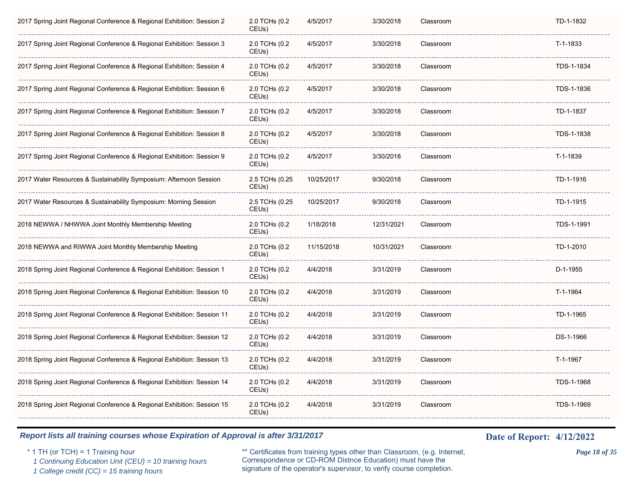| 2017 Spring Joint Regional Conference & Regional Exhibition: Session 2  | 2.0 TCHs (0.2<br>CEUs)              | 4/5/2017   | 3/30/2018  | Classroom | TD-1-1832  |
|-------------------------------------------------------------------------|-------------------------------------|------------|------------|-----------|------------|
| 2017 Spring Joint Regional Conference & Regional Exhibition: Session 3  | 2.0 TCHs (0.2<br>CEU <sub>s</sub> ) | 4/5/2017   | 3/30/2018  | Classroom | T-1-1833   |
| 2017 Spring Joint Regional Conference & Regional Exhibition: Session 4  | 2.0 TCHs (0.2<br>CEUs)              | 4/5/2017   | 3/30/2018  | Classroom | TDS-1-1834 |
| 2017 Spring Joint Regional Conference & Regional Exhibition: Session 6  | 2.0 TCHs (0.2<br>CEUs)              | 4/5/2017   | 3/30/2018  | Classroom | TDS-1-1836 |
| 2017 Spring Joint Regional Conference & Regional Exhibition: Session 7  | 2.0 TCHs (0.2<br>CEUs)              | 4/5/2017   | 3/30/2018  | Classroom | TD-1-1837  |
| 2017 Spring Joint Regional Conference & Regional Exhibition: Session 8  | 2.0 TCHs (0.2<br>CEU <sub>s</sub> ) | 4/5/2017   | 3/30/2018  | Classroom | TDS-1-1838 |
| 2017 Spring Joint Regional Conference & Regional Exhibition: Session 9  | 2.0 TCHs (0.2<br>CEU <sub>s</sub> ) | 4/5/2017   | 3/30/2018  | Classroom | T-1-1839   |
| 2017 Water Resources & Sustainability Symposium: Afternoon Session      | 2.5 TCHs (0.25<br>CEUs)             | 10/25/2017 | 9/30/2018  | Classroom | TD-1-1916  |
| 2017 Water Resources & Sustainability Symposium: Morning Session        | 2.5 TCHs (0.25<br>CEUs)             | 10/25/2017 | 9/30/2018  | Classroom | TD-1-1915  |
| 2018 NEWWA / NHWWA Joint Monthly Membership Meeting                     | 2.0 TCHs (0.2<br>CEUs)              | 1/18/2018  | 12/31/2021 | Classroom | TDS-1-1991 |
| 2018 NEWWA and RIWWA Joint Monthly Membership Meeting                   | 2.0 TCHs (0.2<br>CEUs)              | 11/15/2018 | 10/31/2021 | Classroom | TD-1-2010  |
| 2018 Spring Joint Regional Conference & Regional Exhibition: Session 1  | 2.0 TCHs (0.2<br>CEU <sub>s</sub> ) | 4/4/2018   | 3/31/2019  | Classroom | $D-1-1955$ |
| 2018 Spring Joint Regional Conference & Regional Exhibition: Session 10 | 2.0 TCHs (0.2<br>CEUs)              | 4/4/2018   | 3/31/2019  | Classroom | T-1-1964   |
| 2018 Spring Joint Regional Conference & Regional Exhibition: Session 11 | 2.0 TCHs (0.2<br>CEU <sub>s</sub> ) | 4/4/2018   | 3/31/2019  | Classroom | TD-1-1965  |
| 2018 Spring Joint Regional Conference & Regional Exhibition: Session 12 | 2.0 TCHs (0.2<br>CEU <sub>s</sub> ) | 4/4/2018   | 3/31/2019  | Classroom | DS-1-1966  |
| 2018 Spring Joint Regional Conference & Regional Exhibition: Session 13 | 2.0 TCHs (0.2<br>CEUs)              | 4/4/2018   | 3/31/2019  | Classroom | T-1-1967   |
| 2018 Spring Joint Regional Conference & Regional Exhibition: Session 14 | 2.0 TCHs (0.2<br>CEUs)              | 4/4/2018   | 3/31/2019  | Classroom | TDS-1-1968 |
| 2018 Spring Joint Regional Conference & Regional Exhibition: Session 15 | 2.0 TCHs (0.2<br>CEUs)              | 4/4/2018   | 3/31/2019  | Classroom | TDS-1-1969 |
|                                                                         |                                     |            |            |           |            |

\* 1 TH (or TCH) = 1 Training hour \*\* Certificates from training types other than Classroom, (e.g. Internet, *Page 18 of 35* Correspondence or CD-ROM Distnce Education) must have the 1 Continuing Education Unit (CEU) = 10 training hours Correspondence or CD-ROM Distnee Education) must have the 1 College credit (CC) = 15 training hours signature of the operator's supervisor, to verify course completion.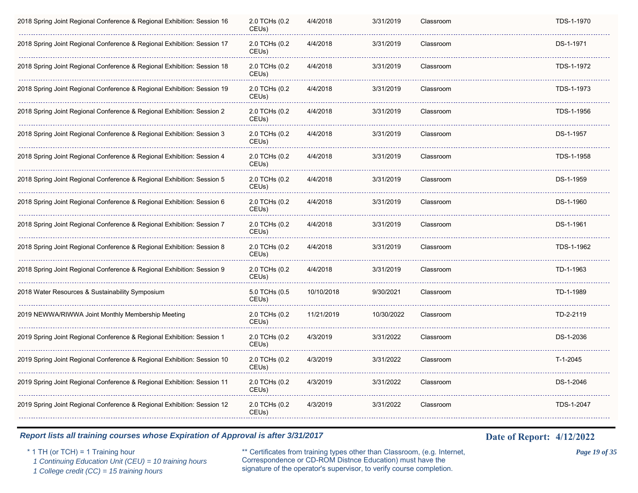| 2018 Spring Joint Regional Conference & Regional Exhibition: Session 16 | 2.0 TCHs (0.2<br>CEU <sub>s</sub> ) | 4/4/2018   | 3/31/2019  | Classroom | TDS-1-1970 |  |
|-------------------------------------------------------------------------|-------------------------------------|------------|------------|-----------|------------|--|
| 2018 Spring Joint Regional Conference & Regional Exhibition: Session 17 | 2.0 TCHs (0.2<br>CEUs)              | 4/4/2018   | 3/31/2019  | Classroom | DS-1-1971  |  |
| 2018 Spring Joint Regional Conference & Regional Exhibition: Session 18 | 2.0 TCHs (0.2<br>CEUs)              | 4/4/2018   | 3/31/2019  | Classroom | TDS-1-1972 |  |
| 2018 Spring Joint Regional Conference & Regional Exhibition: Session 19 | 2.0 TCHs (0.2<br>CEUs)              | 4/4/2018   | 3/31/2019  | Classroom | TDS-1-1973 |  |
| 2018 Spring Joint Regional Conference & Regional Exhibition: Session 2  | 2.0 TCHs (0.2<br>CEU <sub>s</sub> ) | 4/4/2018   | 3/31/2019  | Classroom | TDS-1-1956 |  |
| 2018 Spring Joint Regional Conference & Regional Exhibition: Session 3  | 2.0 TCHs (0.2<br>CEU <sub>s</sub> ) | 4/4/2018   | 3/31/2019  | Classroom | DS-1-1957  |  |
| 2018 Spring Joint Regional Conference & Regional Exhibition: Session 4  | 2.0 TCHs (0.2<br>CEUs)              | 4/4/2018   | 3/31/2019  | Classroom | TDS-1-1958 |  |
| 2018 Spring Joint Regional Conference & Regional Exhibition: Session 5  | 2.0 TCHs (0.2<br>CEU <sub>s</sub> ) | 4/4/2018   | 3/31/2019  | Classroom | DS-1-1959  |  |
| 2018 Spring Joint Regional Conference & Regional Exhibition: Session 6  | 2.0 TCHs (0.2<br>CEUs)              | 4/4/2018   | 3/31/2019  | Classroom | DS-1-1960  |  |
| 2018 Spring Joint Regional Conference & Regional Exhibition: Session 7  | 2.0 TCHs (0.2<br>CEUs)              | 4/4/2018   | 3/31/2019  | Classroom | DS-1-1961  |  |
| 2018 Spring Joint Regional Conference & Regional Exhibition: Session 8  | 2.0 TCHs (0.2<br>CEUs)              | 4/4/2018   | 3/31/2019  | Classroom | TDS-1-1962 |  |
| 2018 Spring Joint Regional Conference & Regional Exhibition: Session 9  | 2.0 TCHs (0.2<br>CEUs)              | 4/4/2018   | 3/31/2019  | Classroom | TD-1-1963  |  |
| 2018 Water Resources & Sustainability Symposium                         | 5.0 TCHs (0.5<br>CEUs)              | 10/10/2018 | 9/30/2021  | Classroom | TD-1-1989  |  |
| 2019 NEWWA/RIWWA Joint Monthly Membership Meeting                       | 2.0 TCHs (0.2<br>CEU <sub>s</sub> ) | 11/21/2019 | 10/30/2022 | Classroom | TD-2-2119  |  |
| 2019 Spring Joint Regional Conference & Regional Exhibition: Session 1  | 2.0 TCHs (0.2<br>CEUs)              | 4/3/2019   | 3/31/2022  | Classroom | DS-1-2036  |  |
| 2019 Spring Joint Regional Conference & Regional Exhibition: Session 10 | 2.0 TCHs (0.2<br>CEUs)              | 4/3/2019   | 3/31/2022  | Classroom | $T-1-2045$ |  |
| 2019 Spring Joint Regional Conference & Regional Exhibition: Session 11 | 2.0 TCHs (0.2<br>CEUs)              | 4/3/2019   | 3/31/2022  | Classroom | DS-1-2046  |  |
| 2019 Spring Joint Regional Conference & Regional Exhibition: Session 12 | 2.0 TCHs (0.2<br>CEUs)              | 4/3/2019   | 3/31/2022  | Classroom | TDS-1-2047 |  |
|                                                                         |                                     |            |            |           |            |  |

\* 1 TH (or TCH) = 1 Training hour \*\* Certificates from training types other than Classroom, (e.g. Internet, *Page 19 of 35* Correspondence or CD-ROM Distnce Education) must have the 1 Continuing Education Unit (CEU) = 10 training hours Correspondence or CD-ROM Distnee Education) must have the 1 College credit (CC) = 15 training hours signature of the operator's supervisor, to verify course completion.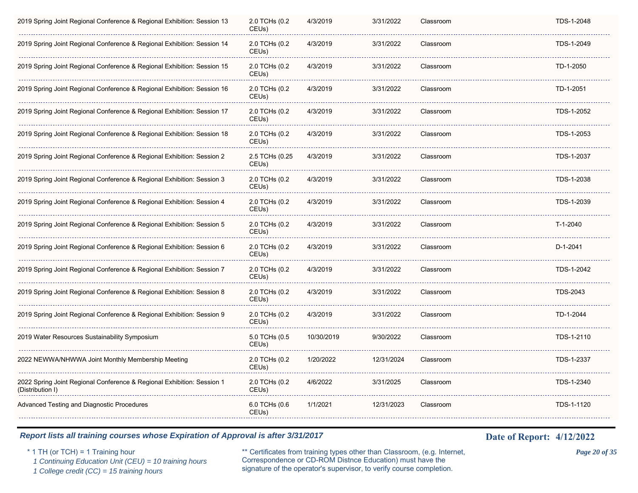| 2019 Spring Joint Regional Conference & Regional Exhibition: Session 13                    | 2.0 TCHs (0.2<br>CEUs)              | 4/3/2019   | 3/31/2022  | Classroom | TDS-1-2048      |
|--------------------------------------------------------------------------------------------|-------------------------------------|------------|------------|-----------|-----------------|
| 2019 Spring Joint Regional Conference & Regional Exhibition: Session 14                    | 2.0 TCHs (0.2<br>CEUs)              | 4/3/2019   | 3/31/2022  | Classroom | TDS-1-2049      |
| 2019 Spring Joint Regional Conference & Regional Exhibition: Session 15                    | 2.0 TCHs (0.2<br>CEUs)              | 4/3/2019   | 3/31/2022  | Classroom | TD-1-2050       |
| 2019 Spring Joint Regional Conference & Regional Exhibition: Session 16                    | 2.0 TCHs (0.2<br>CEUs)              | 4/3/2019   | 3/31/2022  | Classroom | TD-1-2051       |
| 2019 Spring Joint Regional Conference & Regional Exhibition: Session 17                    | 2.0 TCHs (0.2<br>CEUs)              | 4/3/2019   | 3/31/2022  | Classroom | TDS-1-2052      |
| 2019 Spring Joint Regional Conference & Regional Exhibition: Session 18                    | 2.0 TCHs (0.2<br>CEUs)              | 4/3/2019   | 3/31/2022  | Classroom | TDS-1-2053      |
| 2019 Spring Joint Regional Conference & Regional Exhibition: Session 2                     | 2.5 TCHs (0.25<br>CEUs)             | 4/3/2019   | 3/31/2022  | Classroom | TDS-1-2037      |
| 2019 Spring Joint Regional Conference & Regional Exhibition: Session 3                     | 2.0 TCHs (0.2<br>CEUs)              | 4/3/2019   | 3/31/2022  | Classroom | TDS-1-2038      |
| 2019 Spring Joint Regional Conference & Regional Exhibition: Session 4                     | 2.0 TCHs (0.2<br>CEUs)              | 4/3/2019   | 3/31/2022  | Classroom | TDS-1-2039      |
| 2019 Spring Joint Regional Conference & Regional Exhibition: Session 5                     | 2.0 TCHs (0.2<br>CEUs)              | 4/3/2019   | 3/31/2022  | Classroom | T-1-2040        |
| 2019 Spring Joint Regional Conference & Regional Exhibition: Session 6                     | 2.0 TCHs (0.2<br>CEUs)              | 4/3/2019   | 3/31/2022  | Classroom | D-1-2041        |
| 2019 Spring Joint Regional Conference & Regional Exhibition: Session 7                     | 2.0 TCHs (0.2<br>CEUs)              | 4/3/2019   | 3/31/2022  | Classroom | TDS-1-2042      |
| 2019 Spring Joint Regional Conference & Regional Exhibition: Session 8                     | 2.0 TCHs (0.2<br>CEUs)              | 4/3/2019   | 3/31/2022  | Classroom | <b>TDS-2043</b> |
| 2019 Spring Joint Regional Conference & Regional Exhibition: Session 9                     | 2.0 TCHs (0.2<br>CEU <sub>s</sub> ) | 4/3/2019   | 3/31/2022  | Classroom | TD-1-2044       |
| 2019 Water Resources Sustainability Symposium                                              | 5.0 TCHs (0.5<br>CEUs)              | 10/30/2019 | 9/30/2022  | Classroom | TDS-1-2110      |
| 2022 NEWWA/NHWWA Joint Monthly Membership Meeting                                          | 2.0 TCHs (0.2<br>CEUs)              | 1/20/2022  | 12/31/2024 | Classroom | TDS-1-2337      |
| 2022 Spring Joint Regional Conference & Regional Exhibition: Session 1<br>(Distribution I) | 2.0 TCHs (0.2<br>CEUs)              | 4/6/2022   | 3/31/2025  | Classroom | TDS-1-2340      |
| Advanced Testing and Diagnostic Procedures                                                 | 6.0 TCHs (0.6<br>CEUs)              | 1/1/2021   | 12/31/2023 | Classroom | TDS-1-1120      |
|                                                                                            |                                     |            |            |           |                 |

\* 1 TH (or TCH) = 1 Training hour \*\* Certificates from training types other than Classroom, (e.g. Internet, *Page 20 of 35* Correspondence or CD-ROM Distnce Education) must have the 1 Continuing Education Unit (CEU) = 10 training hours Correspondence or CD-ROM Distnee Education) must have the 1 College credit (CC) = 15 training hours signature of the operator's supervisor, to verify course completion.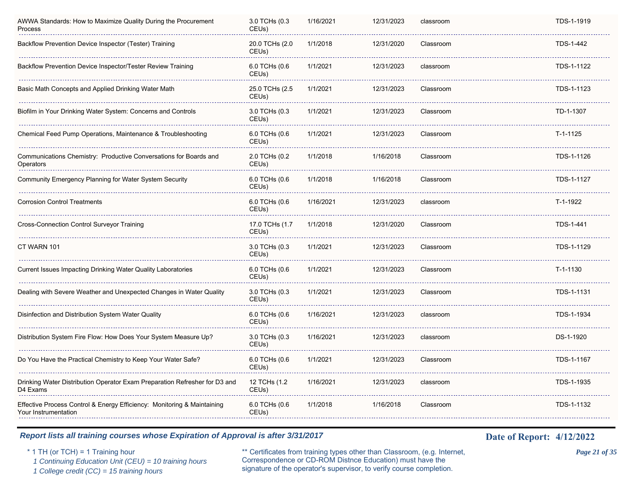| AWWA Standards: How to Maximize Quality During the Procurement<br>Process                       | 3.0 TCHs (0.3<br>CEUs)              | 1/16/2021 | 12/31/2023 | classroom | TDS-1-1919 |
|-------------------------------------------------------------------------------------------------|-------------------------------------|-----------|------------|-----------|------------|
| Backflow Prevention Device Inspector (Tester) Training                                          | 20.0 TCHs (2.0<br>CEUs)             | 1/1/2018  | 12/31/2020 | Classroom | TDS-1-442  |
| Backflow Prevention Device Inspector/Tester Review Training                                     | 6.0 TCHs (0.6<br>CEU <sub>s</sub> ) | 1/1/2021  | 12/31/2023 | classroom | TDS-1-1122 |
| Basic Math Concepts and Applied Drinking Water Math                                             | 25.0 TCHs (2.5)<br>CEUs)            | 1/1/2021  | 12/31/2023 | Classroom | TDS-1-1123 |
| Biofilm in Your Drinking Water System: Concerns and Controls                                    | 3.0 TCHs (0.3<br>CEUs)              | 1/1/2021  | 12/31/2023 | Classroom | TD-1-1307  |
| Chemical Feed Pump Operations, Maintenance & Troubleshooting                                    | 6.0 TCHs (0.6<br>CEUs)              | 1/1/2021  | 12/31/2023 | Classroom | T-1-1125   |
| Communications Chemistry: Productive Conversations for Boards and<br>Operators                  | 2.0 TCHs (0.2<br>CEU <sub>s</sub> ) | 1/1/2018  | 1/16/2018  | Classroom | TDS-1-1126 |
| Community Emergency Planning for Water System Security                                          | 6.0 TCHs (0.6<br>CEUs)              | 1/1/2018  | 1/16/2018  | Classroom | TDS-1-1127 |
| <b>Corrosion Control Treatments</b>                                                             | 6.0 TCHs (0.6<br>CEU <sub>s</sub> ) | 1/16/2021 | 12/31/2023 | classroom | T-1-1922   |
| <b>Cross-Connection Control Surveyor Training</b>                                               | 17.0 TCHs (1.7<br>CEUs)             | 1/1/2018  | 12/31/2020 | Classroom | TDS-1-441  |
| CT WARN 101                                                                                     | 3.0 TCHs (0.3<br>CEUs)              | 1/1/2021  | 12/31/2023 | Classroom | TDS-1-1129 |
| Current Issues Impacting Drinking Water Quality Laboratories                                    | 6.0 TCHs (0.6<br>CEU <sub>s</sub> ) | 1/1/2021  | 12/31/2023 | Classroom | $T-1-1130$ |
| Dealing with Severe Weather and Unexpected Changes in Water Quality                             | 3.0 TCHs (0.3<br>CEU <sub>s</sub> ) | 1/1/2021  | 12/31/2023 | Classroom | TDS-1-1131 |
| Disinfection and Distribution System Water Quality                                              | 6.0 TCHs (0.6<br>CEU <sub>s</sub> ) | 1/16/2021 | 12/31/2023 | classroom | TDS-1-1934 |
| Distribution System Fire Flow: How Does Your System Measure Up?                                 | 3.0 TCHs (0.3<br>CEU <sub>s</sub> ) | 1/16/2021 | 12/31/2023 | classroom | DS-1-1920  |
| Do You Have the Practical Chemistry to Keep Your Water Safe?                                    | 6.0 TCHs (0.6<br>CEUs)              | 1/1/2021  | 12/31/2023 | Classroom | TDS-1-1167 |
| Drinking Water Distribution Operator Exam Preparation Refresher for D3 and<br>D4 Exams          | 12 TCHs (1.2<br>CEUs)               | 1/16/2021 | 12/31/2023 | classroom | TDS-1-1935 |
| Effective Process Control & Energy Efficiency: Monitoring & Maintaining<br>Your Instrumentation | 6.0 TCHs (0.6<br>CEUs)              | 1/1/2018  | 1/16/2018  | Classroom | TDS-1-1132 |
|                                                                                                 |                                     |           |            |           |            |

\* 1 TH (or TCH) = 1 Training hour \*\* Certificates from training types other than Classroom, (e.g. Internet, *Page 21 of 35* Correspondence or CD-ROM Distnce Education) must have the 1 Continuing Education Unit (CEU) = 10 training hours Correspondence or CD-ROM Distnee Education) must have the 1 College credit (CC) = 15 training hours signature of the operator's supervisor, to verify course completion.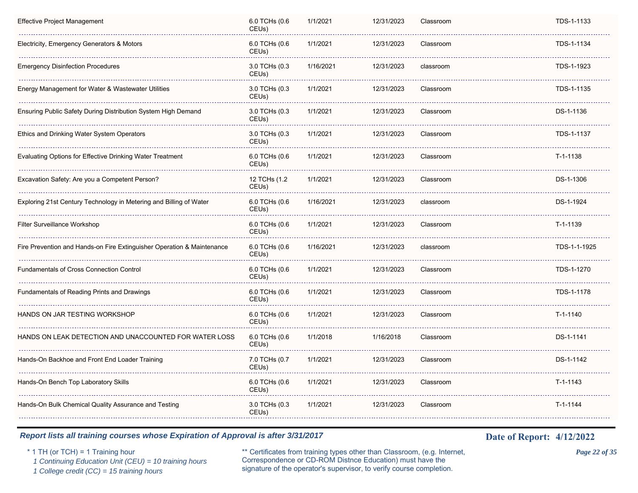| Effective Project Management                                           | 6.0 TCHs (0.6<br>CEUs)              | 1/1/2021  | 12/31/2023 | Classroom | TDS-1-1133   |
|------------------------------------------------------------------------|-------------------------------------|-----------|------------|-----------|--------------|
| Electricity, Emergency Generators & Motors                             | 6.0 TCHs (0.6<br>CEUs)              | 1/1/2021  | 12/31/2023 | Classroom | TDS-1-1134   |
| Emergency Disinfection Procedures                                      | 3.0 TCHs (0.3<br>CEUs)              | 1/16/2021 | 12/31/2023 | classroom | TDS-1-1923   |
| Energy Management for Water & Wastewater Utilities                     | 3.0 TCHs (0.3<br>CEUs)              | 1/1/2021  | 12/31/2023 | Classroom | TDS-1-1135   |
| Ensuring Public Safety During Distribution System High Demand          | 3.0 TCHs (0.3<br>CEUs)              | 1/1/2021  | 12/31/2023 | Classroom | DS-1-1136    |
| Ethics and Drinking Water System Operators                             | 3.0 TCHs (0.3<br>CEUs)              | 1/1/2021  | 12/31/2023 | Classroom | TDS-1-1137   |
| Evaluating Options for Effective Drinking Water Treatment              | 6.0 TCHs (0.6<br>CEUs)              | 1/1/2021  | 12/31/2023 | Classroom | T-1-1138     |
| Excavation Safety: Are you a Competent Person?                         | 12 TCHs (1.2<br>CEUs)               | 1/1/2021  | 12/31/2023 | Classroom | DS-1-1306    |
| Exploring 21st Century Technology in Metering and Billing of Water     | 6.0 TCHs (0.6<br>CEUs)              | 1/16/2021 | 12/31/2023 | classroom | DS-1-1924    |
| <b>Filter Surveillance Workshop</b>                                    | 6.0 TCHs (0.6<br>CEUs)              | 1/1/2021  | 12/31/2023 | Classroom | $T-1-1139$   |
| Fire Prevention and Hands-on Fire Extinguisher Operation & Maintenance | 6.0 TCHs (0.6<br>CEUs)              | 1/16/2021 | 12/31/2023 | classroom | TDS-1-1-1925 |
| Fundamentals of Cross Connection Control                               | 6.0 TCHs (0.6<br>CEUs)              | 1/1/2021  | 12/31/2023 | Classroom | TDS-1-1270   |
| Fundamentals of Reading Prints and Drawings                            | 6.0 TCHs (0.6<br>CEUs)              | 1/1/2021  | 12/31/2023 | Classroom | TDS-1-1178   |
| HANDS ON JAR TESTING WORKSHOP                                          | 6.0 TCHs (0.6<br>CEUs)              | 1/1/2021  | 12/31/2023 | Classroom | $T-1-1140$   |
| HANDS ON LEAK DETECTION AND UNACCOUNTED FOR WATER LOSS                 | 6.0 TCHs (0.6<br>CEU <sub>s</sub> ) | 1/1/2018  | 1/16/2018  | Classroom | DS-1-1141    |
| Hands-On Backhoe and Front End Loader Training                         | 7.0 TCHs (0.7<br>CEUs)              | 1/1/2021  | 12/31/2023 | Classroom | DS-1-1142    |
| Hands-On Bench Top Laboratory Skills                                   | 6.0 TCHs (0.6<br>CEUs)              | 1/1/2021  | 12/31/2023 | Classroom | T-1-1143     |
| Hands-On Bulk Chemical Quality Assurance and Testing                   | 3.0 TCHs (0.3<br>CEUs)              | 1/1/2021  | 12/31/2023 | Classroom | T-1-1144     |
|                                                                        |                                     |           |            |           |              |

\* 1 TH (or TCH) = 1 Training hour \*\* Certificates from training types other than Classroom, (e.g. Internet, *Page 22 of 35* Correspondence or CD-ROM Distnce Education) must have the 1 Continuing Education Unit (CEU) = 10 training hours Correspondence or CD-ROM Distnee Education) must have the 1 College credit (CC) = 15 training hours signature of the operator's supervisor, to verify course completion.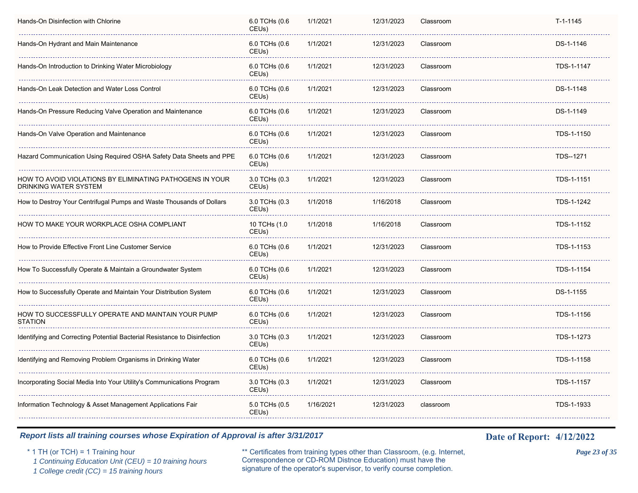| Hands-On Disinfection with Chlorine                                               | 6.0 TCHs (0.6<br>CEU <sub>s</sub> ) | 1/1/2021  | 12/31/2023 | Classroom | $T-1-1145$ |
|-----------------------------------------------------------------------------------|-------------------------------------|-----------|------------|-----------|------------|
| Hands-On Hydrant and Main Maintenance                                             | 6.0 TCHs (0.6<br>CEUs)              | 1/1/2021  | 12/31/2023 | Classroom | DS-1-1146  |
| Hands-On Introduction to Drinking Water Microbiology                              | 6.0 TCHs (0.6<br>CEUs)              | 1/1/2021  | 12/31/2023 | Classroom | TDS-1-1147 |
| Hands-On Leak Detection and Water Loss Control                                    | 6.0 TCHs (0.6<br>CEUs)              | 1/1/2021  | 12/31/2023 | Classroom | DS-1-1148  |
| Hands-On Pressure Reducing Valve Operation and Maintenance                        | 6.0 TCHs (0.6<br>CEUs)              | 1/1/2021  | 12/31/2023 | Classroom | DS-1-1149  |
| Hands-On Valve Operation and Maintenance                                          | 6.0 TCHs (0.6<br>CEU <sub>s</sub> ) | 1/1/2021  | 12/31/2023 | Classroom | TDS-1-1150 |
| Hazard Communication Using Required OSHA Safety Data Sheets and PPE               | 6.0 TCHs (0.6<br>CEUs)              | 1/1/2021  | 12/31/2023 | Classroom | TDS--1271  |
| HOW TO AVOID VIOLATIONS BY ELIMINATING PATHOGENS IN YOUR<br>DRINKING WATER SYSTEM | 3.0 TCHs (0.3<br>CEU <sub>s</sub> ) | 1/1/2021  | 12/31/2023 | Classroom | TDS-1-1151 |
| How to Destroy Your Centrifugal Pumps and Waste Thousands of Dollars              | 3.0 TCHs (0.3<br>CEUs)              | 1/1/2018  | 1/16/2018  | Classroom | TDS-1-1242 |
| HOW TO MAKE YOUR WORKPLACE OSHA COMPLIANT                                         | 10 TCHs (1.0<br>CEUs)               | 1/1/2018  | 1/16/2018  | Classroom | TDS-1-1152 |
| How to Provide Effective Front Line Customer Service                              | 6.0 TCHs (0.6<br>CEUs)              | 1/1/2021  | 12/31/2023 | Classroom | TDS-1-1153 |
| How To Successfully Operate & Maintain a Groundwater System                       | 6.0 TCHs (0.6<br>CEUs)              | 1/1/2021  | 12/31/2023 | Classroom | TDS-1-1154 |
| How to Successfully Operate and Maintain Your Distribution System                 | 6.0 TCHs (0.6<br>CEU <sub>s</sub> ) | 1/1/2021  | 12/31/2023 | Classroom | DS-1-1155  |
| HOW TO SUCCESSFULLY OPERATE AND MAINTAIN YOUR PUMP<br><b>STATION</b>              | 6.0 TCHs (0.6<br>CEU <sub>s</sub> ) | 1/1/2021  | 12/31/2023 | Classroom | TDS-1-1156 |
| Identifying and Correcting Potential Bacterial Resistance to Disinfection         | 3.0 TCHs (0.3<br>CEUs)              | 1/1/2021  | 12/31/2023 | Classroom | TDS-1-1273 |
| Identifying and Removing Problem Organisms in Drinking Water                      | 6.0 TCHs (0.6<br>CEUs)              | 1/1/2021  | 12/31/2023 | Classroom | TDS-1-1158 |
| Incorporating Social Media Into Your Utility's Communications Program             | 3.0 TCHs (0.3<br>CEUs)              | 1/1/2021  | 12/31/2023 | Classroom | TDS-1-1157 |
| Information Technology & Asset Management Applications Fair                       | 5.0 TCHs (0.5<br>CEUs)              | 1/16/2021 | 12/31/2023 | classroom | TDS-1-1933 |
|                                                                                   |                                     |           |            |           |            |

\* 1 TH (or TCH) = 1 Training hour \*\* Certificates from training types other than Classroom, (e.g. Internet, *Page 23 of 35* Correspondence or CD-ROM Distnce Education) must have the 1 Continuing Education Unit (CEU) = 10 training hours Correspondence or CD-ROM Distnee Education) must have the 1 College credit (CC) = 15 training hours signature of the operator's supervisor, to verify course completion.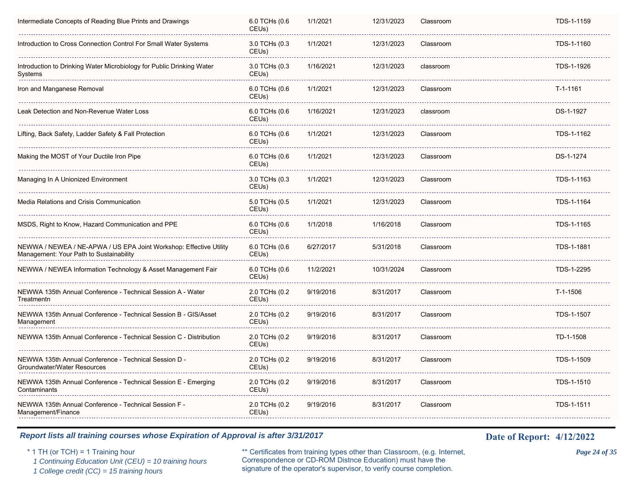| 6.0 TCHs (0.6<br>CEUs)              | 1/1/2021  | 12/31/2023 | Classroom | TDS-1-1159 |
|-------------------------------------|-----------|------------|-----------|------------|
| 3.0 TCHs (0.3<br>CEUs)              | 1/1/2021  | 12/31/2023 | Classroom | TDS-1-1160 |
| 3.0 TCHs (0.3<br>CEUs)              | 1/16/2021 | 12/31/2023 | classroom | TDS-1-1926 |
| 6.0 TCHs (0.6<br>CEUs)              | 1/1/2021  | 12/31/2023 | Classroom | T-1-1161   |
| 6.0 TCHs (0.6<br>CEUs)              | 1/16/2021 | 12/31/2023 | classroom | DS-1-1927  |
| 6.0 TCHs (0.6<br>CEU <sub>s</sub> ) | 1/1/2021  | 12/31/2023 | Classroom | TDS-1-1162 |
| 6.0 TCHs (0.6<br>CEU <sub>s</sub> ) | 1/1/2021  | 12/31/2023 | Classroom | DS-1-1274  |
| 3.0 TCHs (0.3<br>CEU <sub>s</sub> ) | 1/1/2021  | 12/31/2023 | Classroom | TDS-1-1163 |
| 5.0 TCHs (0.5<br>CEUs)              | 1/1/2021  | 12/31/2023 | Classroom | TDS-1-1164 |
| 6.0 TCHs (0.6<br>CEUs)              | 1/1/2018  | 1/16/2018  | Classroom | TDS-1-1165 |
| 6.0 TCHs (0.6<br>CEUs)              | 6/27/2017 | 5/31/2018  | Classroom | TDS-1-1881 |
| 6.0 TCHs (0.6<br>CEUs)              | 11/2/2021 | 10/31/2024 | Classroom | TDS-1-2295 |
| 2.0 TCHs (0.2<br>CEU <sub>s</sub> ) | 9/19/2016 | 8/31/2017  | Classroom | T-1-1506   |
| 2.0 TCHs (0.2<br>CEUs)              | 9/19/2016 | 8/31/2017  | Classroom | TDS-1-1507 |
| 2.0 TCHs (0.2<br>CEUs)              | 9/19/2016 | 8/31/2017  | Classroom | TD-1-1508  |
| 2.0 TCHs (0.2<br>CEUs)              | 9/19/2016 | 8/31/2017  | Classroom | TDS-1-1509 |
| 2.0 TCHs (0.2<br>CEUs)              | 9/19/2016 | 8/31/2017  | Classroom | TDS-1-1510 |
| 2.0 TCHs (0.2<br>CEUs)              | 9/19/2016 | 8/31/2017  | Classroom | TDS-1-1511 |
|                                     |           |            |           |            |

\* 1 TH (or TCH) = 1 Training hour \*\* Certificates from training types other than Classroom, (e.g. Internet, *Page 24 of 35* Correspondence or CD-ROM Distnce Education) must have the 1 Continuing Education Unit (CEU) = 10 training hours Correspondence or CD-ROM Distnee Education) must have the 1 College credit (CC) = 15 training hours signature of the operator's supervisor, to verify course completion.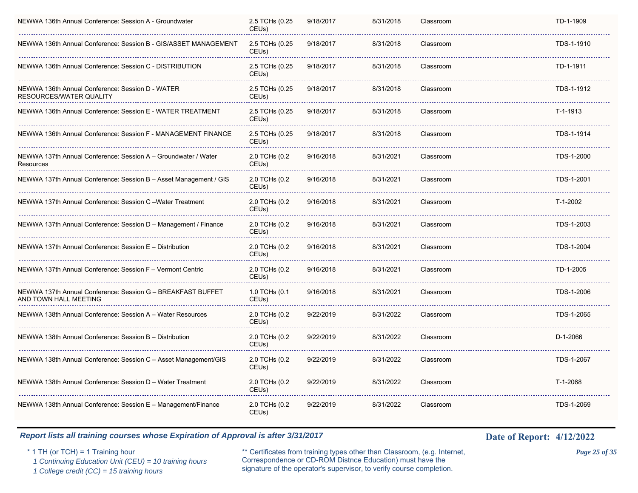| NEWWA 136th Annual Conference: Session A - Groundwater                               | 2.5 TCHs (0.25<br>CEU <sub>s</sub> ) | 9/18/2017 | 8/31/2018 | Classroom | TD-1-1909  |
|--------------------------------------------------------------------------------------|--------------------------------------|-----------|-----------|-----------|------------|
| NEWWA 136th Annual Conference: Session B - GIS/ASSET MANAGEMENT                      | 2.5 TCHs (0.25<br>CEU <sub>s</sub> ) | 9/18/2017 | 8/31/2018 | Classroom | TDS-1-1910 |
| NEWWA 136th Annual Conference: Session C - DISTRIBUTION                              | 2.5 TCHs (0.25<br>CEUs)              | 9/18/2017 | 8/31/2018 | Classroom | TD-1-1911  |
| NEWWA 136th Annual Conference: Session D - WATER<br>RESOURCES/WATER QUALITY          | 2.5 TCHs (0.25<br>CEUs)              | 9/18/2017 | 8/31/2018 | Classroom | TDS-1-1912 |
| NEWWA 136th Annual Conference: Session E - WATER TREATMENT                           | 2.5 TCHs (0.25<br>CEUs)              | 9/18/2017 | 8/31/2018 | Classroom | T-1-1913   |
| NEWWA 136th Annual Conference: Session F - MANAGEMENT FINANCE                        | 2.5 TCHs (0.25<br>CEUs)              | 9/18/2017 | 8/31/2018 | Classroom | TDS-1-1914 |
| NEWWA 137th Annual Conference: Session A - Groundwater / Water<br>Resources          | 2.0 TCHs (0.2<br>CEUs)               | 9/16/2018 | 8/31/2021 | Classroom | TDS-1-2000 |
| NEWWA 137th Annual Conference: Session B - Asset Management / GIS                    | 2.0 TCHs (0.2<br>CEU <sub>s</sub> )  | 9/16/2018 | 8/31/2021 | Classroom | TDS-1-2001 |
| NEWWA 137th Annual Conference: Session C - Water Treatment                           | 2.0 TCHs (0.2<br>CEU <sub>s</sub> )  | 9/16/2018 | 8/31/2021 | Classroom | T-1-2002   |
| NEWWA 137th Annual Conference: Session D - Management / Finance                      | 2.0 TCHs (0.2<br>CEUs)               | 9/16/2018 | 8/31/2021 | Classroom | TDS-1-2003 |
| NEWWA 137th Annual Conference: Session E - Distribution                              | 2.0 TCHs (0.2<br>CEUs)               | 9/16/2018 | 8/31/2021 | Classroom | TDS-1-2004 |
| NEWWA 137th Annual Conference: Session F - Vermont Centric                           | 2.0 TCHs (0.2<br>CEU <sub>s</sub> )  | 9/16/2018 | 8/31/2021 | Classroom | TD-1-2005  |
| NEWWA 137th Annual Conference: Session G – BREAKFAST BUFFET<br>AND TOWN HALL MEETING | 1.0 TCHs (0.1<br>CEUs)               | 9/16/2018 | 8/31/2021 | Classroom | TDS-1-2006 |
| NEWWA 138th Annual Conference: Session A - Water Resources                           | 2.0 TCHs (0.2<br>CEUs)               | 9/22/2019 | 8/31/2022 | Classroom | TDS-1-2065 |
| NEWWA 138th Annual Conference: Session B - Distribution                              | 2.0 TCHs (0.2<br>CEU <sub>s</sub> )  | 9/22/2019 | 8/31/2022 | Classroom | D-1-2066   |
| NEWWA 138th Annual Conference: Session C - Asset Management/GIS                      | 2.0 TCHs (0.2<br>CEUs)               | 9/22/2019 | 8/31/2022 | Classroom | TDS-1-2067 |
| NEWWA 138th Annual Conference: Session D - Water Treatment                           | 2.0 TCHs (0.2<br>CEU <sub>s</sub> )  | 9/22/2019 | 8/31/2022 | Classroom | T-1-2068   |
| NEWWA 138th Annual Conference: Session E - Management/Finance                        | 2.0 TCHs (0.2<br>CEUs)               | 9/22/2019 | 8/31/2022 | Classroom | TDS-1-2069 |
|                                                                                      |                                      |           |           |           |            |

\* 1 TH (or TCH) = 1 Training hour \*\* Certificates from training types other than Classroom, (e.g. Internet, *Page 25 of 35* Correspondence or CD-ROM Distnce Education) must have the 1 Continuing Education Unit (CEU) = 10 training hours Correspondence or CD-ROM Distnee Education) must have the 1 College credit (CC) = 15 training hours signature of the operator's supervisor, to verify course completion.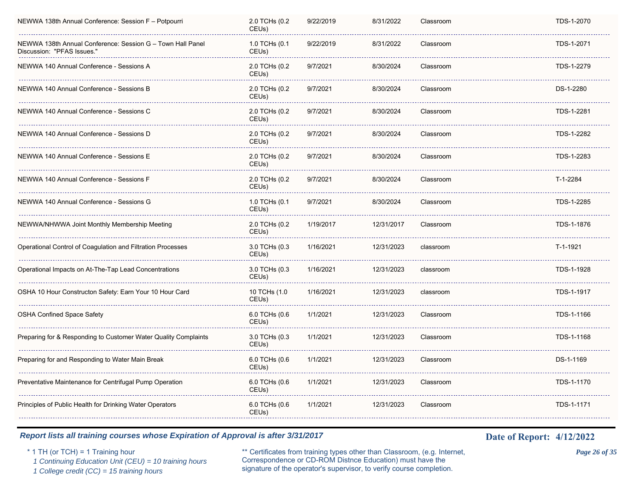| NEWWA 138th Annual Conference: Session F - Potpourri                                     | 2.0 TCHs (0.2<br>CEU <sub>s</sub> ) | 9/22/2019 | 8/31/2022  | Classroom | TDS-1-2070 |
|------------------------------------------------------------------------------------------|-------------------------------------|-----------|------------|-----------|------------|
| NEWWA 138th Annual Conference: Session G - Town Hall Panel<br>Discussion: "PFAS Issues." | 1.0 TCHs (0.1<br>CEUs)              | 9/22/2019 | 8/31/2022  | Classroom | TDS-1-2071 |
| NEWWA 140 Annual Conference - Sessions A                                                 | 2.0 TCHs (0.2<br>CEUs)              | 9/7/2021  | 8/30/2024  | Classroom | TDS-1-2279 |
| NEWWA 140 Annual Conference - Sessions B                                                 | 2.0 TCHs (0.2<br>CEUs)              | 9/7/2021  | 8/30/2024  | Classroom | DS-1-2280  |
| NEWWA 140 Annual Conference - Sessions C                                                 | 2.0 TCHs (0.2<br>CEUs)              | 9/7/2021  | 8/30/2024  | Classroom | TDS-1-2281 |
| NEWWA 140 Annual Conference - Sessions D                                                 | 2.0 TCHs (0.2<br>CEUs)              | 9/7/2021  | 8/30/2024  | Classroom | TDS-1-2282 |
| NEWWA 140 Annual Conference - Sessions E                                                 | 2.0 TCHs (0.2<br>CEUs)              | 9/7/2021  | 8/30/2024  | Classroom | TDS-1-2283 |
| NEWWA 140 Annual Conference - Sessions F                                                 | 2.0 TCHs (0.2<br>CEU <sub>s</sub> ) | 9/7/2021  | 8/30/2024  | Classroom | T-1-2284   |
| NEWWA 140 Annual Conference - Sessions G                                                 | 1.0 TCHs (0.1<br>CEU <sub>s</sub> ) | 9/7/2021  | 8/30/2024  | Classroom | TDS-1-2285 |
| NEWWA/NHWWA Joint Monthly Membership Meeting                                             | 2.0 TCHs (0.2<br>CEUs)              | 1/19/2017 | 12/31/2017 | Classroom | TDS-1-1876 |
| Operational Control of Coagulation and Filtration Processes                              | 3.0 TCHs (0.3<br>CEUs)              | 1/16/2021 | 12/31/2023 | classroom | T-1-1921   |
| Operational Impacts on At-The-Tap Lead Concentrations                                    | 3.0 TCHs (0.3<br>CEUs)              | 1/16/2021 | 12/31/2023 | classroom | TDS-1-1928 |
| OSHA 10 Hour Constructon Safety: Earn Your 10 Hour Card                                  | 10 TCHs (1.0<br>CEUs)               | 1/16/2021 | 12/31/2023 | classroom | TDS-1-1917 |
| <b>OSHA Confined Space Safety</b>                                                        | 6.0 TCHs (0.6<br>CEU <sub>s</sub> ) | 1/1/2021  | 12/31/2023 | Classroom | TDS-1-1166 |
| Preparing for & Responding to Customer Water Quality Complaints                          | 3.0 TCHs (0.3<br>CEUs)              | 1/1/2021  | 12/31/2023 | Classroom | TDS-1-1168 |
| Preparing for and Responding to Water Main Break                                         | 6.0 TCHs (0.6<br>CEUs)              | 1/1/2021  | 12/31/2023 | Classroom | DS-1-1169  |
| Preventative Maintenance for Centrifugal Pump Operation                                  | 6.0 TCHs (0.6<br>CEU <sub>s</sub> ) | 1/1/2021  | 12/31/2023 | Classroom | TDS-1-1170 |
| Principles of Public Health for Drinking Water Operators                                 | 6.0 TCHs (0.6<br>CEUs)              | 1/1/2021  | 12/31/2023 | Classroom | TDS-1-1171 |
|                                                                                          |                                     |           |            |           |            |

\* 1 TH (or TCH) = 1 Training hour \*\* Certificates from training types other than Classroom, (e.g. Internet, *Page 26 of 35* Correspondence or CD-ROM Distnce Education) must have the 1 Continuing Education Unit (CEU) = 10 training hours Correspondence or CD-ROM Distnee Education) must have the 1 College credit (CC) = 15 training hours signature of the operator's supervisor, to verify course completion.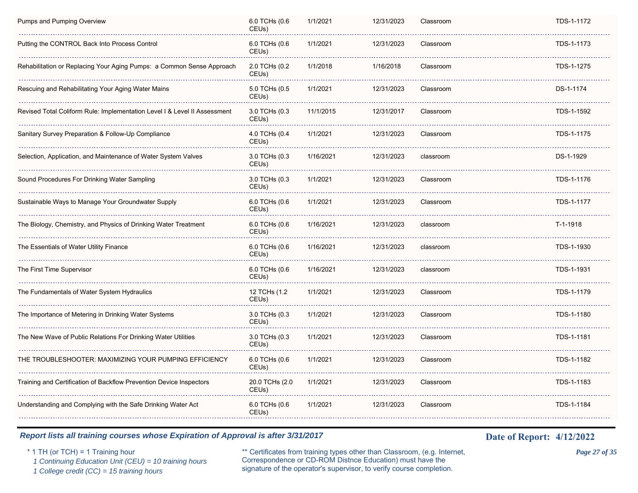| <b>Pumps and Pumping Overview</b>                                         | 6.0 TCHs (0.6<br>CEU <sub>s</sub> )  | 1/1/2021  | 12/31/2023 | Classroom | TDS-1-1172 |
|---------------------------------------------------------------------------|--------------------------------------|-----------|------------|-----------|------------|
| Putting the CONTROL Back Into Process Control                             | 6.0 TCHs (0.6<br>CEUs)               | 1/1/2021  | 12/31/2023 | Classroom | TDS-1-1173 |
| Rehabilitation or Replacing Your Aging Pumps: a Common Sense Approach     | 2.0 TCHs (0.2<br>CEU <sub>s</sub> )  | 1/1/2018  | 1/16/2018  | Classroom | TDS-1-1275 |
| Rescuing and Rehabilitating Your Aging Water Mains                        | 5.0 TCHs (0.5<br>CEUs)               | 1/1/2021  | 12/31/2023 | Classroom | DS-1-1174  |
| Revised Total Coliform Rule: Implementation Level I & Level II Assessment | 3.0 TCHs (0.3<br>CEUs)               | 11/1/2015 | 12/31/2017 | Classroom | TDS-1-1592 |
| Sanitary Survey Preparation & Follow-Up Compliance                        | 4.0 TCHs (0.4<br>CEU <sub>s</sub> )  | 1/1/2021  | 12/31/2023 | Classroom | TDS-1-1175 |
| Selection, Application, and Maintenance of Water System Valves            | 3.0 TCHs (0.3<br>CEUs)               | 1/16/2021 | 12/31/2023 | classroom | DS-1-1929  |
| Sound Procedures For Drinking Water Sampling                              | 3.0 TCHs (0.3<br>CEU <sub>s</sub> )  | 1/1/2021  | 12/31/2023 | Classroom | TDS-1-1176 |
| Sustainable Ways to Manage Your Groundwater Supply                        | 6.0 TCHs (0.6<br>CEUs)               | 1/1/2021  | 12/31/2023 | Classroom | TDS-1-1177 |
| The Biology, Chemistry, and Physics of Drinking Water Treatment           | 6.0 TCHs (0.6<br>CEUs)               | 1/16/2021 | 12/31/2023 | classroom | $T-1-1918$ |
| The Essentials of Water Utility Finance                                   | 6.0 TCHs (0.6<br>CEUs)               | 1/16/2021 | 12/31/2023 | classroom | TDS-1-1930 |
| The First Time Supervisor                                                 | 6.0 TCHs (0.6<br>CEU <sub>s</sub> )  | 1/16/2021 | 12/31/2023 | classroom | TDS-1-1931 |
| The Fundamentals of Water System Hydraulics                               | 12 TCHs (1.2<br>CEU <sub>s</sub> )   | 1/1/2021  | 12/31/2023 | Classroom | TDS-1-1179 |
| The Importance of Metering in Drinking Water Systems                      | 3.0 TCHs (0.3<br>CEU <sub>s</sub> )  | 1/1/2021  | 12/31/2023 | Classroom | TDS-1-1180 |
| The New Wave of Public Relations For Drinking Water Utilities             | 3.0 TCHs (0.3<br>CEUs)               | 1/1/2021  | 12/31/2023 | Classroom | TDS-1-1181 |
| THE TROUBLESHOOTER: MAXIMIZING YOUR PUMPING EFFICIENCY                    | 6.0 TCHs (0.6<br>CEUs)               | 1/1/2021  | 12/31/2023 | Classroom | TDS-1-1182 |
| Training and Certification of Backflow Prevention Device Inspectors       | 20.0 TCHs (2.0<br>CEU <sub>s</sub> ) | 1/1/2021  | 12/31/2023 | Classroom | TDS-1-1183 |
| Understanding and Complying with the Safe Drinking Water Act              | 6.0 TCHs (0.6<br>CEUs)               | 1/1/2021  | 12/31/2023 | Classroom | TDS-1-1184 |
|                                                                           |                                      |           |            |           |            |

\* 1 TH (or TCH) = 1 Training hour \*\* Certificates from training types other than Classroom, (e.g. Internet, *Page 27 of 35* Correspondence or CD-ROM Distnce Education) must have the 1 Continuing Education Unit (CEU) = 10 training hours Correspondence or CD-ROM Distnee Education) must have the 1 College credit (CC) = 15 training hours signature of the operator's supervisor, to verify course completion.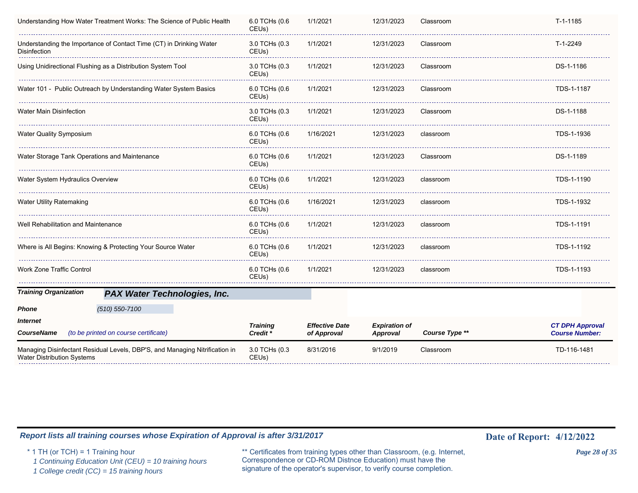| Understanding How Water Treatment Works: The Science of Public Health                                                      | 6.0 TCHs (0.6<br>CEUs)              | 1/1/2021                             | 12/31/2023                              | Classroom      | T-1-1185                                        |
|----------------------------------------------------------------------------------------------------------------------------|-------------------------------------|--------------------------------------|-----------------------------------------|----------------|-------------------------------------------------|
| Understanding the Importance of Contact Time (CT) in Drinking Water<br>Disinfection                                        | 3.0 TCHs (0.3<br>CEUs)              | 1/1/2021                             | 12/31/2023                              | Classroom      | T-1-2249                                        |
| Using Unidirectional Flushing as a Distribution System Tool                                                                | 3.0 TCHs (0.3<br>CEUs)              | 1/1/2021                             | 12/31/2023                              | Classroom      | DS-1-1186                                       |
| Water 101 - Public Outreach by Understanding Water System Basics                                                           | 6.0 TCHs (0.6<br>CEUs)              | 1/1/2021                             | 12/31/2023                              | Classroom      | TDS-1-1187                                      |
| <b>Water Main Disinfection</b>                                                                                             | 3.0 TCHs (0.3<br>CEU <sub>s</sub> ) | 1/1/2021                             | 12/31/2023                              | Classroom      | DS-1-1188                                       |
| <b>Water Quality Symposium</b>                                                                                             | 6.0 TCHs (0.6<br>CEUs)              | 1/16/2021                            | 12/31/2023                              | classroom      | TDS-1-1936                                      |
| Water Storage Tank Operations and Maintenance                                                                              | 6.0 TCHs (0.6<br>CEUs)              | 1/1/2021                             | 12/31/2023                              | Classroom      | DS-1-1189                                       |
| Water System Hydraulics Overview                                                                                           | 6.0 TCHs (0.6<br>CEUs)              | 1/1/2021                             | 12/31/2023                              | classroom      | TDS-1-1190                                      |
| <b>Water Utility Ratemaking</b>                                                                                            | 6.0 TCHs (0.6<br>CEUs)              | 1/16/2021                            | 12/31/2023                              | classroom      | TDS-1-1932                                      |
| Well Rehabilitation and Maintenance                                                                                        | 6.0 TCHs (0.6<br>CEUs)              | 1/1/2021                             | 12/31/2023                              | classroom      | TDS-1-1191                                      |
| Where is All Begins: Knowing & Protecting Your Source Water                                                                | 6.0 TCHs (0.6<br>CEUs)              | 1/1/2021                             | 12/31/2023                              | classroom      | TDS-1-1192                                      |
| <b>Work Zone Traffic Control</b>                                                                                           | 6.0 TCHs (0.6<br>CEUs)              | 1/1/2021                             | 12/31/2023                              | classroom      | TDS-1-1193                                      |
| <b>Training Organization</b><br><b>PAX Water Technologies, Inc.</b>                                                        |                                     |                                      |                                         |                |                                                 |
| $(510) 550 - 7100$<br><b>Phone</b><br><i><b>Internet</b></i><br><b>CourseName</b><br>(to be printed on course certificate) | <b>Training</b><br>Credit *         | <b>Effective Date</b><br>of Approval | <b>Expiration of</b><br><b>Approval</b> | Course Type ** | <b>CT DPH Approval</b><br><b>Course Number:</b> |
| Managing Disinfectant Residual Levels, DBP'S, and Managing Nitrification in<br><b>Water Distribution Systems</b>           | 3.0 TCHs (0.3<br>CEUs)              | 8/31/2016                            | 9/1/2019                                | Classroom      | TD-116-1481                                     |

\* 1 TH (or TCH) = 1 Training hour \*\* Certificates from training types other than Classroom, (e.g. Internet, *Page 28 of 35* Correspondence or CD-ROM Distnce Education) must have the signature of the operator's supervisor, to verify course completion. *1 Continuing Education Unit (CEU) = 10 training hours 1 College credit (CC) = 15 training hours*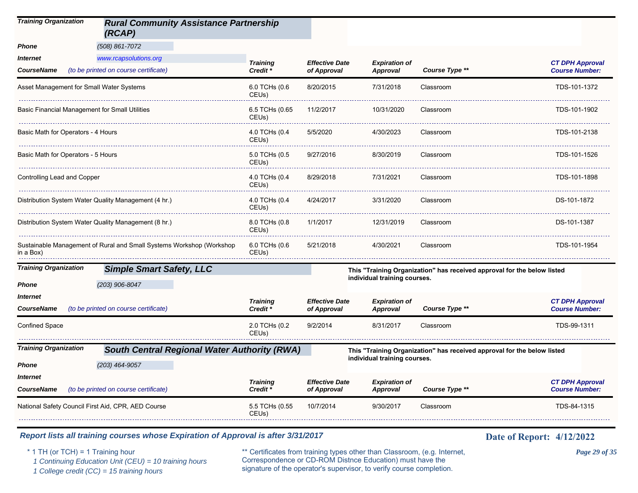| <b>Training Organization</b>                       | <b>Rural Community Assistance Partnership</b><br>(RCAP)              |                                        |                                      |                                         |                                                                         |                                                 |
|----------------------------------------------------|----------------------------------------------------------------------|----------------------------------------|--------------------------------------|-----------------------------------------|-------------------------------------------------------------------------|-------------------------------------------------|
| Phone                                              | (508) 861-7072                                                       |                                        |                                      |                                         |                                                                         |                                                 |
| Internet                                           | www.rcapsolutions.org                                                | <b>Training</b>                        | <b>Effective Date</b>                | <b>Expiration of</b>                    |                                                                         | <b>CT DPH Approval</b>                          |
| <b>CourseName</b>                                  | (to be printed on course certificate)                                | Credit <sup>*</sup>                    | of Approval                          | <b>Approval</b>                         | Course Type **                                                          | <b>Course Number:</b>                           |
| Asset Management for Small Water Systems           |                                                                      | 6.0 TCHs (0.6<br>CEU <sub>s</sub> )    | 8/20/2015                            | 7/31/2018                               | Classroom                                                               | TDS-101-1372                                    |
| Basic Financial Management for Small Utilities     |                                                                      | 6.5 TCHs (0.65<br>CEUs)                | 11/2/2017                            | 10/31/2020                              | Classroom                                                               | TDS-101-1902                                    |
| Basic Math for Operators - 4 Hours                 |                                                                      | 4.0 TCHs (0.4<br>CEUs)                 | 5/5/2020                             | 4/30/2023                               | Classroom                                                               | TDS-101-2138                                    |
| Basic Math for Operators - 5 Hours                 |                                                                      | 5.0 TCHs (0.5<br>CEUs)                 | 9/27/2016                            | 8/30/2019                               | Classroom                                                               | TDS-101-1526                                    |
| Controlling Lead and Copper                        |                                                                      | 4.0 TCHs (0.4<br>CEUs)                 | 8/29/2018                            | 7/31/2021                               | Classroom                                                               | TDS-101-1898                                    |
|                                                    | Distribution System Water Quality Management (4 hr.)                 | 4.0 TCHs (0.4<br>CEUs)                 | 4/24/2017                            | 3/31/2020                               | Classroom                                                               | DS-101-1872                                     |
|                                                    | Distribution System Water Quality Management (8 hr.)                 | 8.0 TCHs (0.8<br>CEU <sub>s</sub> )    | 1/1/2017                             | 12/31/2019                              | Classroom                                                               | DS-101-1387                                     |
| in a Box)                                          | Sustainable Management of Rural and Small Systems Workshop (Workshop | 6.0 TCHs (0.6<br>CEUs)                 | 5/21/2018                            | 4/30/2021                               | Classroom                                                               | TDS-101-1954                                    |
| <b>Training Organization</b>                       | <b>Simple Smart Safety, LLC</b>                                      |                                        |                                      |                                         | This "Training Organization" has received approval for the below listed |                                                 |
| Phone                                              | (203) 906-8047                                                       |                                        |                                      | individual training courses.            |                                                                         |                                                 |
| Internet<br><b>CourseName</b>                      | (to be printed on course certificate)                                | <b>Training</b><br>Credit <sup>*</sup> | <b>Effective Date</b><br>of Approval | <b>Expiration of</b><br><b>Approval</b> | Course Type **                                                          | <b>CT DPH Approval</b><br><b>Course Number:</b> |
| Confined Space                                     |                                                                      | 2.0 TCHs (0.2<br>CEUs)                 | 9/2/2014                             | 8/31/2017                               | Classroom                                                               | TDS-99-1311                                     |
| <b>Training Organization</b>                       | <b>South Central Regional Water Authority (RWA)</b>                  |                                        |                                      |                                         | This "Training Organization" has received approval for the below listed |                                                 |
| Phone                                              | $(203)$ 464-9057                                                     |                                        |                                      | individual training courses.            |                                                                         |                                                 |
| Internet                                           |                                                                      |                                        |                                      |                                         |                                                                         |                                                 |
| <b>CourseName</b>                                  | (to be printed on course certificate)                                | <b>Training</b><br>Credit *            | <b>Effective Date</b><br>of Approval | <b>Expiration of</b><br><b>Approval</b> | Course Type **                                                          | <b>CT DPH Approval</b><br><b>Course Number:</b> |
| National Safety Council First Aid, CPR, AED Course |                                                                      | 5.5 TCHs (0.55<br>CEU <sub>s</sub> )   | 10/7/2014                            | 9/30/2017                               | Classroom                                                               | TDS-84-1315                                     |

\* 1 TH (or TCH) = 1 Training hour \*\* Certificates from training types other than Classroom, (e.g. Internet, *Page 29 of 35* Correspondence or CD-ROM Distnce Education) must have the 1 Continuing Education Unit (CEU) = 10 training hours Correspondence or CD-ROM Distnee Education) must have the 1 College credit (CC) = 15 training hours signature of the operator's supervisor, to verify course completion.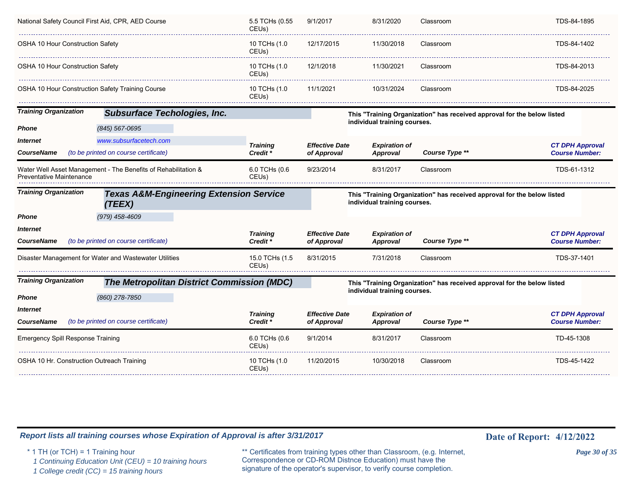| National Safety Council First Aid, CPR, AED Course |                                                                | 5.5 TCHs (0.55<br>CEUs)            | 9/1/2017                             | 8/31/2020                        | Classroom                                                               | TDS-84-1895                                     |
|----------------------------------------------------|----------------------------------------------------------------|------------------------------------|--------------------------------------|----------------------------------|-------------------------------------------------------------------------|-------------------------------------------------|
| <b>OSHA 10 Hour Construction Safety</b>            |                                                                | 10 TCHs (1.0<br>CEU <sub>s</sub> ) | 12/17/2015                           | 11/30/2018                       | Classroom                                                               | TDS-84-1402                                     |
| <b>OSHA 10 Hour Construction Safety</b>            |                                                                | 10 TCHs (1.0<br>CEU <sub>s</sub> ) | 12/1/2018                            | 11/30/2021                       | Classroom                                                               | TDS-84-2013                                     |
| OSHA 10 Hour Construction Safety Training Course   |                                                                | 10 TCHs (1.0<br>CEUs)              | 11/1/2021                            | 10/31/2024                       | Classroom                                                               | TDS-84-2025                                     |
| <b>Training Organization</b>                       | <b>Subsurface Techologies, Inc.</b>                            |                                    |                                      | individual training courses.     | This "Training Organization" has received approval for the below listed |                                                 |
| Phone                                              | (845) 567-0695                                                 |                                    |                                      |                                  |                                                                         |                                                 |
| <i><b>Internet</b></i>                             | www.subsurfacetech.com                                         |                                    |                                      |                                  |                                                                         |                                                 |
| CourseName                                         | (to be printed on course certificate)                          | <b>Training</b><br>Credit *        | <b>Effective Date</b><br>of Approval | <b>Expiration of</b><br>Approval | Course Type **                                                          | <b>CT DPH Approval</b><br><b>Course Number:</b> |
| Preventative Maintenance                           | Water Well Asset Management - The Benefits of Rehabilitation & | 6.0 TCHs (0.6<br>CEUs)             | 9/23/2014                            | 8/31/2017                        | Classroom                                                               | TDS-61-1312                                     |
| <b>Training Organization</b>                       |                                                                |                                    |                                      |                                  |                                                                         |                                                 |
|                                                    | <b>Texas A&amp;M-Engineering Extension Service</b><br>(TEEX)   |                                    |                                      | individual training courses.     | This "Training Organization" has received approval for the below listed |                                                 |
| Phone                                              | (979) 458-4609                                                 |                                    |                                      |                                  |                                                                         |                                                 |
| <i><b>Internet</b></i><br>CourseName               | (to be printed on course certificate)                          | <b>Training</b><br>Credit *        | <b>Effective Date</b><br>of Approval | <b>Expiration of</b><br>Approval | Course Type **                                                          | <b>CT DPH Approval</b><br><b>Course Number:</b> |
|                                                    | Disaster Management for Water and Wastewater Utilities         | 15.0 TCHs (1.5<br>CEUs)            | 8/31/2015                            | 7/31/2018                        | Classroom                                                               | TDS-37-1401                                     |
|                                                    | <b>The Metropolitan District Commission (MDC)</b>              |                                    |                                      |                                  | This "Training Organization" has received approval for the below listed |                                                 |
| <b>Training Organization</b><br>Phone              | (860) 278-7850                                                 |                                    |                                      | individual training courses.     |                                                                         |                                                 |
| <i><b>Internet</b></i>                             |                                                                |                                    |                                      |                                  |                                                                         |                                                 |
| CourseName                                         | (to be printed on course certificate)                          | <b>Training</b><br>Credit *        | <b>Effective Date</b><br>of Approval | <b>Expiration of</b><br>Approval | Course Type **                                                          | <b>CT DPH Approval</b><br><b>Course Number:</b> |
| <b>Emergency Spill Response Training</b>           |                                                                | 6.0 TCHs (0.6<br>CEUs)             | 9/1/2014                             | 8/31/2017                        | Classroom                                                               | TD-45-1308                                      |

\* 1 TH (or TCH) = 1 Training hour \*\* Certificates from training types other than Classroom, (e.g. Internet, *Page 30 of 35* Correspondence or CD-ROM Distnce Education) must have the 1 Continuing Education Unit (CEU) = 10 training hours Correspondence or CD-ROM Distnce Education) must have the 1 College credit (CC) = 15 training hours signature of the operator's supervisor, to verify course completion.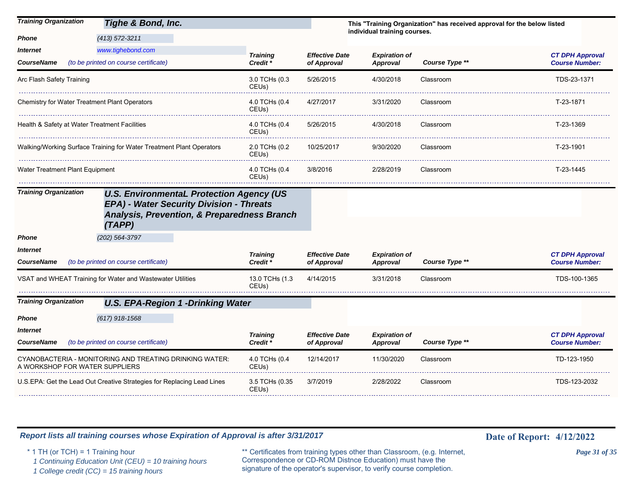| <b>Training Organization</b><br>Tighe & Bond, Inc.                                                                                                                                              |                                        |                                      | individual training courses.            | This "Training Organization" has received approval for the below listed |                                                 |
|-------------------------------------------------------------------------------------------------------------------------------------------------------------------------------------------------|----------------------------------------|--------------------------------------|-----------------------------------------|-------------------------------------------------------------------------|-------------------------------------------------|
| $(413)$ 572-3211<br>Phone<br>www.tighebond.com<br>Internet<br>(to be printed on course certificate)<br><b>CourseName</b>                                                                        | <b>Training</b><br>Credit <sup>*</sup> | <b>Effective Date</b><br>of Approval | <b>Expiration of</b><br><b>Approval</b> | Course Type **                                                          | <b>CT DPH Approval</b><br><b>Course Number:</b> |
| Arc Flash Safety Training                                                                                                                                                                       | 3.0 TCHs (0.3<br>CEU <sub>s</sub> )    | 5/26/2015                            | 4/30/2018                               | Classroom                                                               | TDS-23-1371                                     |
| Chemistry for Water Treatment Plant Operators                                                                                                                                                   | 4.0 TCHs (0.4<br>CEU <sub>s</sub> )    | 4/27/2017                            | 3/31/2020                               | Classroom                                                               | T-23-1871                                       |
| Health & Safety at Water Treatment Facilities                                                                                                                                                   | 4.0 TCHs (0.4<br>CEUs)                 | 5/26/2015                            | 4/30/2018                               | Classroom                                                               | T-23-1369                                       |
| Walking/Working Surface Training for Water Treatment Plant Operators                                                                                                                            | 2.0 TCHs (0.2<br>CEUs)                 | 10/25/2017                           | 9/30/2020                               | Classroom                                                               | T-23-1901                                       |
| Water Treatment Plant Equipment                                                                                                                                                                 | 4.0 TCHs (0.4<br>CEU <sub>s</sub> )    | 3/8/2016                             | 2/28/2019                               | Classroom                                                               | T-23-1445                                       |
| <b>Training Organization</b><br><b>U.S. EnvironmentaL Protection Agency (US</b><br>EPA) - Water Security Division - Threats<br><b>Analysis, Prevention, &amp; Preparedness Branch</b><br>(TAPP) |                                        |                                      |                                         |                                                                         |                                                 |
| (202) 564-3797<br>Phone                                                                                                                                                                         |                                        |                                      |                                         |                                                                         |                                                 |
| Internet<br>(to be printed on course certificate)<br><b>CourseName</b>                                                                                                                          | <b>Training</b><br>Credit *            | <b>Effective Date</b><br>of Approval | <b>Expiration of</b><br><b>Approval</b> | Course Type **                                                          | <b>CT DPH Approval</b><br><b>Course Number:</b> |
| VSAT and WHEAT Training for Water and Wastewater Utilities                                                                                                                                      | 13.0 TCHs (1.3<br>CEU <sub>s</sub> )   | 4/14/2015                            | 3/31/2018                               | Classroom                                                               | TDS-100-1365                                    |
| <b>Training Organization</b><br><b>U.S. EPA-Region 1 -Drinking Water</b>                                                                                                                        |                                        |                                      |                                         |                                                                         |                                                 |
| $(617)$ 918-1568<br>Phone                                                                                                                                                                       |                                        |                                      |                                         |                                                                         |                                                 |
| Internet                                                                                                                                                                                        | <b>Training</b>                        | <b>Effective Date</b>                | <b>Expiration of</b>                    |                                                                         | <b>CT DPH Approval</b>                          |
| (to be printed on course certificate)<br><b>CourseName</b>                                                                                                                                      | Credit <sup>*</sup>                    | of Approval                          | <b>Approval</b>                         | Course Type **                                                          | <b>Course Number:</b>                           |
| CYANOBACTERIA - MONITORING AND TREATING DRINKING WATER:<br>A WORKSHOP FOR WATER SUPPLIERS                                                                                                       | 4.0 TCHs (0.4<br>CEU <sub>s</sub> )    | 12/14/2017                           | 11/30/2020                              | Classroom                                                               | TD-123-1950                                     |
| U.S.EPA: Get the Lead Out Creative Strategies for Replacing Lead Lines                                                                                                                          | 3.5 TCHs (0.35<br>CEU <sub>s</sub> )   | 3/7/2019                             | 2/28/2022                               | Classroom                                                               | TDS-123-2032                                    |

\* 1 TH (or TCH) = 1 Training hour \*\* Certificates from training types other than Classroom, (e.g. Internet, *Page 31 of 35* Correspondence or CD-ROM Distnce Education) must have the 1 Continuing Education Unit (CEU) = 10 training hours Correspondence or CD-ROM Distnce Education) must have the 1 College credit (CC) = 15 training hours signature of the operator's supervisor, to verify course completion.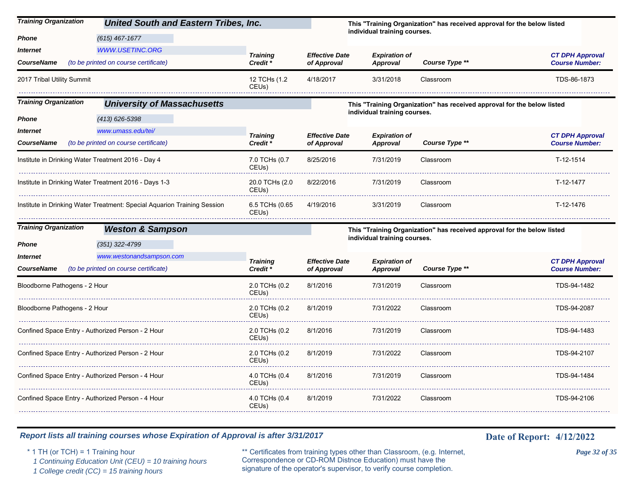| <b>Training Organization</b>                       | <b>United South and Eastern Tribes, Inc.</b>                             |                                     |                       |                              | This "Training Organization" has received approval for the below listed |                        |
|----------------------------------------------------|--------------------------------------------------------------------------|-------------------------------------|-----------------------|------------------------------|-------------------------------------------------------------------------|------------------------|
| Phone                                              | $(615)$ 467-1677                                                         |                                     |                       | individual training courses. |                                                                         |                        |
| Internet                                           | <b>WWW.USETINC.ORG</b>                                                   | <b>Training</b>                     | <b>Effective Date</b> | <b>Expiration of</b>         |                                                                         | <b>CT DPH Approval</b> |
| <b>CourseName</b>                                  | (to be printed on course certificate)                                    | Credit *                            | of Approval           | Approval                     | Course Type **                                                          | <b>Course Number:</b>  |
| 2017 Tribal Utility Summit                         |                                                                          | 12 TCHs (1.2<br>CEUs)               | 4/18/2017             | 3/31/2018                    | Classroom                                                               | TDS-86-1873            |
| <b>Training Organization</b>                       | <b>University of Massachusetts</b>                                       |                                     |                       |                              | This "Training Organization" has received approval for the below listed |                        |
| Phone                                              | $(413)$ 626-5398                                                         |                                     |                       | individual training courses. |                                                                         |                        |
| <b>Internet</b>                                    | www.umass.edu/tei/                                                       | <b>Training</b>                     | <b>Effective Date</b> | <b>Expiration of</b>         |                                                                         | <b>CT DPH Approval</b> |
| <b>CourseName</b>                                  | (to be printed on course certificate)                                    | Credit *                            | of Approval           | Approval                     | Course Type **                                                          | <b>Course Number:</b>  |
| Institute in Drinking Water Treatment 2016 - Day 4 |                                                                          | 7.0 TCHs (0.7<br>CEU <sub>s</sub> ) | 8/25/2016             | 7/31/2019                    | Classroom                                                               | T-12-1514              |
|                                                    | Institute in Drinking Water Treatment 2016 - Days 1-3                    | 20.0 TCHs (2.0<br>CEUs)             | 8/22/2016             | 7/31/2019                    | Classroom                                                               | T-12-1477              |
|                                                    | Institute in Drinking Water Treatment: Special Aquarion Training Session | 6.5 TCHs (0.65<br>CEUs)             | 4/19/2016             | 3/31/2019                    | Classroom                                                               | T-12-1476              |
| <b>Training Organization</b>                       | <b>Weston &amp; Sampson</b>                                              |                                     |                       |                              | This "Training Organization" has received approval for the below listed |                        |
| Phone                                              | $(351)$ 322-4799                                                         |                                     |                       | individual training courses. |                                                                         |                        |
| Internet                                           | www.westonandsampson.com                                                 | <b>Training</b>                     | <b>Effective Date</b> | <b>Expiration of</b>         |                                                                         | <b>CT DPH Approval</b> |
| <b>CourseName</b>                                  | (to be printed on course certificate)                                    | Credit *                            | of Approval           | <b>Approval</b>              | Course Type **                                                          | <b>Course Number:</b>  |
| Bloodborne Pathogens - 2 Hour                      |                                                                          | 2.0 TCHs (0.2<br>CEU <sub>s</sub> ) | 8/1/2016              | 7/31/2019                    | Classroom                                                               | TDS-94-1482            |
| Bloodborne Pathogens - 2 Hour                      |                                                                          | 2.0 TCHs (0.2<br>CEUs)              | 8/1/2019              | 7/31/2022                    | Classroom                                                               | TDS-94-2087            |
| Confined Space Entry - Authorized Person - 2 Hour  |                                                                          | 2.0 TCHs (0.2<br>CEU <sub>s</sub> ) | 8/1/2016              | 7/31/2019                    | Classroom                                                               | TDS-94-1483            |
| Confined Space Entry - Authorized Person - 2 Hour  |                                                                          | 2.0 TCHs (0.2<br>CEUs)              | 8/1/2019              | 7/31/2022                    | Classroom                                                               | TDS-94-2107            |

8/1/2016

8/1/2019

CEUs)

CEUs)

*Report lists all training courses whose Expiration of Approval is after 3/31/2017* **Date of Report:** 4/12/2022

Confined Space Entry - Authorized Person - 4 Hour 4.0 TCHs (0.4

Confined Space Entry - Authorized Person - 4 Hour 4.0 TCHs (0.4

 $\omega$  is  $\omega$  .

\* 1 TH (or TCH) = 1 Training hour \*\* Certificates from training types other than Classroom, (e.g. Internet, *Page 32 of 35* Correspondence or CD-ROM Distnce Education) must have the 1 Continuing Education Unit (CEU) = 10 training hours Correspondence or CD-ROM Distnee Education) must have the <br>1 College credit (CC) = 15 training hours signature of the operator's supervisor, to verify course completion

. . . . . . . . . . .

7/31/2019 Classroom TDS-94-1484

7/31/2022 Classroom TDS-94-2106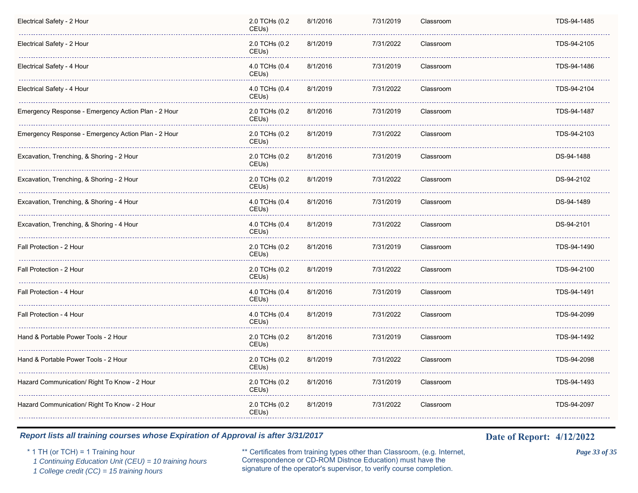| Electrical Safety - 2 Hour                          | 2.0 TCHs (0.2<br>CEUs)              | 8/1/2016 | 7/31/2019 | Classroom | TDS-94-1485 |
|-----------------------------------------------------|-------------------------------------|----------|-----------|-----------|-------------|
| Electrical Safety - 2 Hour                          | 2.0 TCHs (0.2<br>CEUs)              | 8/1/2019 | 7/31/2022 | Classroom | TDS-94-2105 |
| Electrical Safety - 4 Hour                          | 4.0 TCHs (0.4<br>CEUs)              | 8/1/2016 | 7/31/2019 | Classroom | TDS-94-1486 |
| Electrical Safety - 4 Hour                          | 4.0 TCHs (0.4<br>CEUs)              | 8/1/2019 | 7/31/2022 | Classroom | TDS-94-2104 |
| Emergency Response - Emergency Action Plan - 2 Hour | 2.0 TCHs (0.2<br>CEUs)              | 8/1/2016 | 7/31/2019 | Classroom | TDS-94-1487 |
| Emergency Response - Emergency Action Plan - 2 Hour | 2.0 TCHs (0.2<br>CEU <sub>s</sub> ) | 8/1/2019 | 7/31/2022 | Classroom | TDS-94-2103 |
| Excavation, Trenching, & Shoring - 2 Hour           | 2.0 TCHs (0.2<br>CEUs)              | 8/1/2016 | 7/31/2019 | Classroom | DS-94-1488  |
| Excavation, Trenching, & Shoring - 2 Hour           | 2.0 TCHs (0.2<br>CEU <sub>s</sub> ) | 8/1/2019 | 7/31/2022 | Classroom | DS-94-2102  |
| Excavation, Trenching, & Shoring - 4 Hour           | 4.0 TCHs (0.4<br>CEUs)              | 8/1/2016 | 7/31/2019 | Classroom | DS-94-1489  |
| Excavation, Trenching, & Shoring - 4 Hour           | 4.0 TCHs (0.4<br>CEUs)              | 8/1/2019 | 7/31/2022 | Classroom | DS-94-2101  |
| Fall Protection - 2 Hour                            | 2.0 TCHs (0.2<br>CEUs)              | 8/1/2016 | 7/31/2019 | Classroom | TDS-94-1490 |
| Fall Protection - 2 Hour                            | 2.0 TCHs (0.2<br>CEUs)              | 8/1/2019 | 7/31/2022 | Classroom | TDS-94-2100 |
| Fall Protection - 4 Hour                            | 4.0 TCHs (0.4<br>CEUs)              | 8/1/2016 | 7/31/2019 | Classroom | TDS-94-1491 |
| Fall Protection - 4 Hour                            | 4.0 TCHs (0.4<br>CEUs)              | 8/1/2019 | 7/31/2022 | Classroom | TDS-94-2099 |
| Hand & Portable Power Tools - 2 Hour                | 2.0 TCHs (0.2<br>CEUs)              | 8/1/2016 | 7/31/2019 | Classroom | TDS-94-1492 |
| Hand & Portable Power Tools - 2 Hour                | 2.0 TCHs (0.2<br>CEUs)              | 8/1/2019 | 7/31/2022 | Classroom | TDS-94-2098 |
| Hazard Communication/ Right To Know - 2 Hour        | 2.0 TCHs (0.2<br>CEUs)              | 8/1/2016 | 7/31/2019 | Classroom | TDS-94-1493 |
| Hazard Communication/ Right To Know - 2 Hour        | 2.0 TCHs (0.2<br>CEUs)              | 8/1/2019 | 7/31/2022 | Classroom | TDS-94-2097 |
|                                                     |                                     |          |           |           |             |

\* 1 TH (or TCH) = 1 Training hour \*\* Certificates from training types other than Classroom, (e.g. Internet, *Page 33 of 35* Correspondence or CD-ROM Distnce Education) must have the 1 Continuing Education Unit (CEU) = 10 training hours Correspondence or CD-ROM Distnee Education) must have the 1 College credit (CC) = 15 training hours signature of the operator's supervisor, to verify course completion.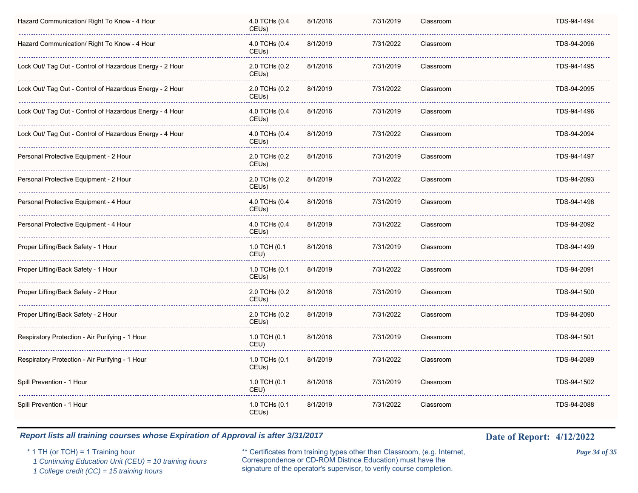| Hazard Communication/ Right To Know - 4 Hour             | 4.0 TCHs (0.4<br>CEUs)              | 8/1/2016 | 7/31/2019 | Classroom | TDS-94-1494 |
|----------------------------------------------------------|-------------------------------------|----------|-----------|-----------|-------------|
| Hazard Communication/ Right To Know - 4 Hour             | 4.0 TCHs (0.4<br>CEUs)              | 8/1/2019 | 7/31/2022 | Classroom | TDS-94-2096 |
| Lock Out/ Tag Out - Control of Hazardous Energy - 2 Hour | 2.0 TCHs (0.2<br>CEUs)              | 8/1/2016 | 7/31/2019 | Classroom | TDS-94-1495 |
| Lock Out/ Tag Out - Control of Hazardous Energy - 2 Hour | 2.0 TCHs (0.2<br>CEUs)              | 8/1/2019 | 7/31/2022 | Classroom | TDS-94-2095 |
| Lock Out/ Tag Out - Control of Hazardous Energy - 4 Hour | 4.0 TCHs (0.4<br>CEUs)              | 8/1/2016 | 7/31/2019 | Classroom | TDS-94-1496 |
| Lock Out/ Tag Out - Control of Hazardous Energy - 4 Hour | 4.0 TCHs (0.4<br>CEU <sub>s</sub> ) | 8/1/2019 | 7/31/2022 | Classroom | TDS-94-2094 |
| Personal Protective Equipment - 2 Hour                   | 2.0 TCHs (0.2<br>CEUs)              | 8/1/2016 | 7/31/2019 | Classroom | TDS-94-1497 |
| Personal Protective Equipment - 2 Hour                   | 2.0 TCHs (0.2<br>CEUs)              | 8/1/2019 | 7/31/2022 | Classroom | TDS-94-2093 |
| Personal Protective Equipment - 4 Hour                   | 4.0 TCHs (0.4<br>CEUs)              | 8/1/2016 | 7/31/2019 | Classroom | TDS-94-1498 |
| Personal Protective Equipment - 4 Hour                   | 4.0 TCHs (0.4<br>CEUs)              | 8/1/2019 | 7/31/2022 | Classroom | TDS-94-2092 |
| Proper Lifting/Back Safety - 1 Hour                      | 1.0 TCH (0.1<br>CEU)                | 8/1/2016 | 7/31/2019 | Classroom | TDS-94-1499 |
| Proper Lifting/Back Safety - 1 Hour                      | 1.0 TCHs (0.1<br>CEU <sub>s</sub> ) | 8/1/2019 | 7/31/2022 | Classroom | TDS-94-2091 |
| Proper Lifting/Back Safety - 2 Hour                      | 2.0 TCHs (0.2<br>CEU <sub>s</sub> ) | 8/1/2016 | 7/31/2019 | Classroom | TDS-94-1500 |
| Proper Lifting/Back Safety - 2 Hour                      | 2.0 TCHs (0.2<br>CEU <sub>s</sub> ) | 8/1/2019 | 7/31/2022 | Classroom | TDS-94-2090 |
| Respiratory Protection - Air Purifying - 1 Hour          | 1.0 TCH (0.1<br>CEU)                | 8/1/2016 | 7/31/2019 | Classroom | TDS-94-1501 |
| Respiratory Protection - Air Purifying - 1 Hour          | 1.0 TCHs (0.1<br>CEUs)              | 8/1/2019 | 7/31/2022 | Classroom | TDS-94-2089 |
| Spill Prevention - 1 Hour                                | 1.0 TCH (0.1<br>CEU)                | 8/1/2016 | 7/31/2019 | Classroom | TDS-94-1502 |
| Spill Prevention - 1 Hour                                | 1.0 TCHs (0.1<br>CEUs)              | 8/1/2019 | 7/31/2022 | Classroom | TDS-94-2088 |
|                                                          |                                     |          |           |           |             |

\* 1 TH (or TCH) = 1 Training hour \*\* Certificates from training types other than Classroom, (e.g. Internet, *Page 34 of 35* Correspondence or CD-ROM Distnce Education) must have the 1 Continuing Education Unit (CEU) = 10 training hours Correspondence or CD-ROM Distnee Education) must have the 1 College credit (CC) = 15 training hours signature of the operator's supervisor, to verify course completion.